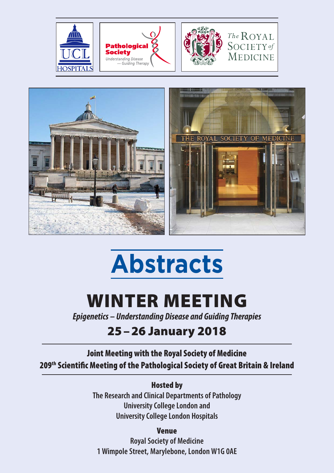



# **Abstracts**

# WINTER MEETING

*Epigenetics – Understanding Disease and Guiding Therapies*

# 25–26 January 2018

Joint Meeting with the Royal Society of Medicine 209th Scientific Meeting of the Pathological Society of Great Britain & Ireland

# Hosted by

**The Research and Clinical Departments of Pathology University College London and University College London Hospitals**

# Venue

**Royal Society of Medicine 1 Wimpole Street, Marylebone, London W1G 0AE**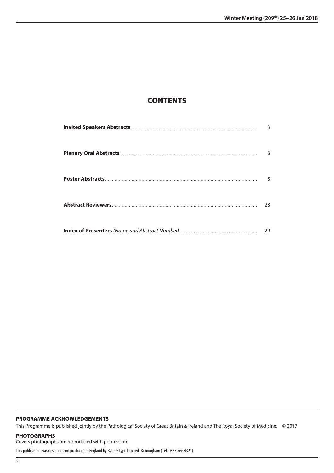# **CONTENTS**

| 3  |
|----|
|    |
| 8  |
| 28 |
| 29 |

### **Programme acknowledgements**

This Programme is published jointly by the Pathological Society of Great Britain & Ireland and The Royal Society of Medicine. © 2017

### **photographs**

Covers photographs are reproduced with permission.

This publication was designed and produced in England by Byte & Type Limited, Birmingham (Tel: 0333 666 4321).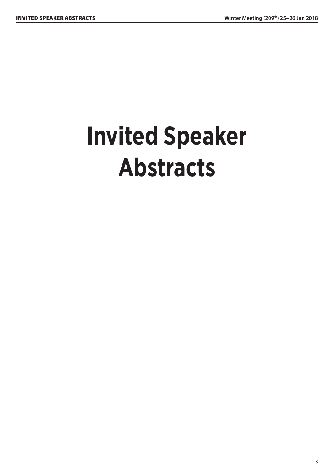# **Invited Speaker Abstracts**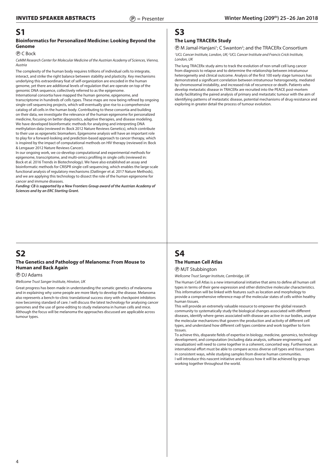### **S1**

### **Bioinformatics for Personalized Medicine: Looking Beyond the Genome**

### P C Bock

*CeMM Research Center for Molecular Medicine of the Austrian Academy of Sciences, Vienna, Austria*

The complexity of the human body requires trillions of individual cells to integrate, interact, and strike the right balance between stability and plasticity. Key mechanisms underlying this extraordinary feat of self-organization are encoded in the human genome, yet there are additional levels of regulation that are operate on top of the genomic DNA sequence, collectively referred to as the epigenome.

International consortia have mapped the human genome, epigenome, and transcriptome in hundreds of cells types. These maps are now being refined by ongoing single-cell sequencing projects, which will eventually give rise to a comprehensive catalog of all cells in the human body. Contributing to these consortia and building on their data, we investigate the relevance of the human epigenome for personalized medicine, focusing on better diagnostics, adaptive therapies, and disease modeling. We have developed bioinformatic methods for analyzing and interpreting DNA methylation data (reviewed in: Bock 2012 Nature Reviews Genetics), which contribute to their use as epigenetic biomarkers. Epigenome analysis will have an important role to play for a forward-looking and prediction-based approach to cancer therapy, which is inspired by the impact of computational methods on HIV therapy (reviewed in: Bock & Lengauer 2012 Nature Reviews Cancer).

In our ongoing work, we co-develop computational and experimental methods for epigenome, transcriptome, and multi-omics profiling in single cells (reviewed in: Bock et al. 2016 Trends in Biotechnology). We have also established an assay and bioinformatic methods for CRISPR single-cell sequencing, which enables the large-scale functional analysis of regulatory mechanisms (Datlinger et al. 2017 Nature Methods), and we are applying this technology to dissect the role of the human epigenome for cancer and immune diseases.

*Funding: CB is supported by a New Frontiers Group award of the Austrian Academy of Sciences and by an ERC Starting Grant.*

### **S3 The Lung TRACERx Study**

**(B)** M Jamal-Hanjani<sup>1</sup>; C Swanton<sup>2</sup>; and the TRACERx Consortium <sup>1</sup> UCL Cancer Institute, London, UK; <sup>2</sup> UCL Cancer Institute and Francis Crick Institute, *London, UK*

The lung TRACERx study aims to track the evolution of non-small cell lung cancer from diagnosis to relapse and to determine the relationship between intratumour heterogeneity and clinical outcome. Analysis of the first 100 early stage tumours has demonstrated a significant correlation between intratumour heterogeneity, mediated by chromosomal instability, and increased risk of recurrence or death. Patients who develop metastatic disease in TRACERx are recruited into the PEACE post-mortem study facilitating the paired analysis of primary and metastatic tumour with the aim of identifying patterns of metastatic disease, potential mechanisms of drug resistance and exploring in greater detail the process of tumour evolution.

### **S4 The Human Cell Atlas**

### P MJT Stubbington

*Wellcome Trust Sanger Institute, Cambridge, UK*

The Human Cell Atlas is a new international initiative that aims to define all human cell types in terms of their gene expression and other distinctive molecular characteristics. This information will be linked with features such as location and morphology to provide a comprehensive reference map of the molecular states of cells within healthy human tissues.

This will provide an extremely valuable resource to empower the global research community to systematically study the biological changes associated with different diseases, identify where genes associated with disease are active in our bodies, analyse the molecular mechanisms that govern the production and activity of different cell types, and understand how different cell types combine and work together to form tissues.

To achieve this, disparate fields of expertise in biology, medicine, genomics, technology development, and computation (including data analysis, software engineering, and visualization) will need to come together in a coherent, concerted way. Furthermore, an international effort must be able to compare across diverse cell types and tissue types in consistent ways, while studying samples from diverse human communities. I will introduce this nascent initiative and discuss how it will be achieved by groups working together throughout the world.

# **S2**

### **The Genetics and Pathology of Melanoma: From Mouse to Human and Back Again**

#### P DJ Adams

#### *Wellcome Trust Sanger Institute, Hinxton, UK*

Great progress has been made in understanding the somatic genetics of melanoma and in explaining why some people are more likely to develop the disease. Melanoma also represents a bench-to-clinic translational success story with checkpoint inhibitors now becoming standard of care. I will discuss the latest technology for analysing cancer genomes and the use of gene-editing to study melanoma in human cells and mice. Although the focus will be melanoma the approaches discussed are applicable across tumour types.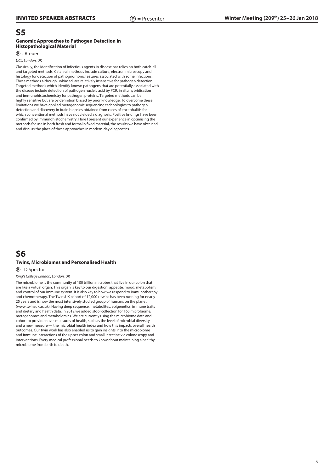### **S5**

### **Genomic Approaches to Pathogen Detection in Histopathological Material**

P J Breuer

*UCL, London, UK*

Classically, the identification of infectious agents in disease has relies on both catch-all and targeted methods. Catch-all methods include culture, electron microscopy and histology for detection of pathognomonic features associated with some infections. These methods although unbiased, are relatively insensitive for pathogen detection. Targeted methods which identify known pathogens that are potentially associated with the disease include detection of pathogen nucleic acid by PCR, in situ hybridisation and immunohistochemistry for pathogen proteins. Targeted methods can be highly sensitive but are by definition biased by prior knowledge. To overcome these limitations we have applied metagenomic sequencing technologies to pathogen detection and discovery in brain biopsies obtained from cases of encephalitis for which conventional methods have not yielded a diagnosis. Positive findings have been confirmed by immunohistochemistry. Here I present our experience in optimising the methods for use in both fresh and formalin fixed material, the results we have obtained and discuss the place of these approaches in modern-day diagnostics.

### **S6 Twins, Microbiomes and Personalised Health**

P TD Spector

*King's College London, London, UK*

The microbiome is the community of 100 trillion microbes that live in our colon that are like a virtual organ. This organ is key to our digestion, appetite, mood, metabolism, and control of our immune system. It is also key to how we respond to immunotherapy and chemotherapy. The TwinsUK cohort of 12,000+ twins has been running for nearly 25 years and is now the most intensively studied group of humans on the planet (www.twinsuk.ac.uk). Having deep sequence, metabolites, epigenetics, immune traits and dietary and health data, in 2012 we added stool collection for 16S microbiome, metagenomes and metabolomics. We are currently using the microbiome data and cohort to provide novel measures of health, such as the level of microbial diversity and a new measure — the microbial health index and how this impacts overall health outcomes. Our twin work has also enabled us to gain insights into the microbiome and immune interactions of the upper colon and small intestine via colonoscopy and interventions. Every medical professional needs to know about maintaining a healthy microbiome from birth to death.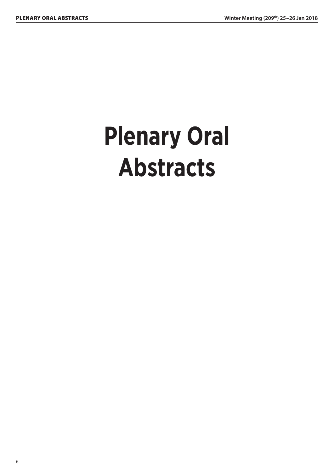# **Plenary Oral Abstracts**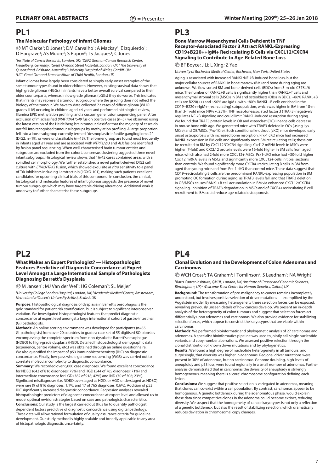# **PL1**

### **The Molecular Pathology of Infant Gliomas**

**(B)** MT Clarke<sup>1</sup>; D Jones<sup>2</sup>; DM Carvalho<sup>1</sup>; A Mackay<sup>1</sup>; E Izquierdo<sup>1</sup>; D Hargrave<sup>3</sup>; AS Moore<sup>4</sup>; S Popov<sup>5</sup>; TS Jacques<sup>6</sup>; C Jones<sup>1</sup>

<sup>1</sup> Institute of Cancer Research, London, UK; <sup>2</sup>DKFZ German Cancer Research Center, *Heidelberg, Germany; 3 Great Ormond Street Hospital, London, UK; 4 The University of Queensland, Brisbane, Australia; 5 University Hospital of Wales, Cardiff, UK; 6 UCL Great Ormond Street Institute of Child Health, London, UK*

Infant gliomas have largely been considered as simply early-onset examples of the same tumour types found in older children. However, existing survival data shows that high grade gliomas (HGGs) in infants have a better overall survival compared to their older counterparts, whereas in low grade gliomas (LGGs) they do worse. This indicates that infants may represent a tumour subgroup where the grading does not reflect the biology of the tumour. We have to-date collected 72 cases of diffuse glioma (WHO grades II-IV) occuring in children aged <4 years and performed histological review, Illumina EPIC methylation profiling, and a custom gene fusion sequencing panel. After exclusion of misclassified *BRAF:KIAA1549* fusion positive cases (n=5), we observed using the latest version of the Heidelberg brain tumour classifier that the majority of cases do not fall into recognised tumour subgroups by methylation profiling. A large proportion fell into a loose subgroup currently termed "desmoplastic infantile ganglioglioma 2" (DIG2, n=19), or were unclassifiable (n=13). The former group are found most frequently in infants aged ≤1 year and are associated with *NTRK1/2/3* and *ALK* fusions identified by fusion panel sequencing. When well-characterised brain tumour entities and subgroups are excluded from the cohort, consensus clustering suggested three novel infant subgroups. Histological review shows that 16/42 cases contained areas with a spindled cell morphology. We further established a novel patient-derived DIG2 cell culture with *ETV6:NTRK3* fusion, which showed exquisite *in vitro* sensitivity to a panel of Trk inhibitors including Larotrectinib (LOXO-101), making such patients excellent candidates for upcoming clinical trials of this compound. In conclusion, the clinical, histological and molecular features of infant gliomas suggests the presence of novel tumour subgroups which may have targetable driving alterations. Additional work is underway to further characterise these subgroups.

# **PL3**

### **Bone Marrow Mesenchymal Cells Deficient in TNF Receptor-Associated Factor 3 Attract RANKL-Expressing CD19+B220++IgM+ Recirculating B Cells via CXCL12/CXCR4 Signaling to Contribute to Age-Related Bone Loss**

P BF Boyce; J Li; L Xing; Z Yao

*University of Rochester Medical Center, Rochester, New York, United States*

Aging is associated with increased RANKL/NF-kB-induced bone loss, but the major cellular sources of RANKL in bone marrow (BM) and bone during aging are unknown. We flow-sorted BM and bone-derived cells (BDCs) from 3-m-old C57BL/6 mice. The number of RANKL+B cells is significantly higher than RANKL+T cells and mesenchymal stromal cells (MSCs) in BM and osteoblasts (OBs) in BDCs. ~86% RANKL+B cells are B220(++) and ~90% are IgM+, with ~80% RANKL+B cells enriched in the CD19+B220++IgM+ (recirculating) subpopulation, which was higher in BM from 18-m than 3-m-old mice (49% v. 25%). TNF receptor-associated factor 3 (TRAF3) negatively regulates NF-kB signaling and could limit RANKL-induced resorption during aging. We found that TRAF3 protein levels in OB and osteoclast (OC) lineage cells decrease in mouse bone with age. We generated mice with TRAF3 deleted in OCs (using Lys-MCre) and OB/MSCs (Prx-1Cre). Both conditional knockout (cKO) mice developed early onset osteoporosis with increased bone resorption. Prx-1 cKO mice had increased RANKL expression in BM cells and significantly more BM recirculating cells; these can be recruited to BM by CXCL12/CXCR4 signaling. Cxcl12 mRNA levels in MSCs were higher (7-fold) and CXCL12 protein levels were 16-fold higher in BM cells from aged mice, which also had 2-fold more CXCL12+ MSCs. Prx1-cKO mice had ~30-fold higher Cxcl12 mRNA levels in MSCs and significantly more CXCL12+ cells in tibial sections than controls. We found significantly more CXCR4+recirculating B cells in BM from aged than young mice and from Prx-1 cKO than control mice. These data suggest that CD19+recirculating B cells are the predominant RANKL-expressing population in BM promoting OC formation during aging, as TRAF3 levels fall, and that TRAF3 deletion in OB/MSCs causes RANKL+B cell accumulation in BM via enhanced CXCL12/CXCR4 signaling. Inhibition of TRAF3 degradation in MSCs and of CXCR4+recirculating B cell recruitment to BM could reduce age-related osteoporosis.

# **PL2**

### **What Makes an Expert Pathologist? — Histopathologist Features Predictive of Diagnostic Concordance at Expert Level Amongst a Large International Sample of Pathologists Diagnosing Barrett's Dysplasia**

**(B)** M Jansen<sup>1</sup>; MJ Van der Wel<sup>2</sup>; HG Coleman<sup>3</sup>; SL Meijer<sup>2</sup>

<sup>1</sup> University College London Hospital, London, UK; <sup>2</sup> Academic Medical Centre, Amsterdam, *Netherlands; 3 Queen's University Belfast, Belfast, UK*

**Purpose:** Histopathological diagnosis of dysplasia in Barrett's oesophagus is the gold standard for patient risk stratification, but is subject to significant interobserver variation. We investigated histopathologist features that predict diagnostic concordance at expert level amongst a large international cohort of gastro-intestinal (GI) pathologists.

**Methods:** An online scoring environment was developed for participants (n=55 GI-pathologists) from over 20 countries to grade a case set of 55 digitised BO biopsies encompassing the complete spectrum from non-dysplastic Barrett's oesophagus (NDBO) to high-grade dysplasia (HGD). Detailed histopathologist demographic data (experience, centre volume, etc.) was obtained through an online questionnaire. We also quantified the impact of p53 immunohistochemistry (IHC) on diagnostic concordance. Finally, low-pass whole genome sequencing (WGS) was carried out to correlate molecular complexity to diagnostic concordance.

**Summary:** We recorded over 6,000 case diagnoses. We found excellent concordance for NDBO (643 of 816 diagnoses; 79%) and HGD (544 of 765 diagnoses; 71%) and intermediate concordance for LGD (382 of 918; 42%) and IND (70 of 306; 23%). Significant misdiagnoses (i.e. NDBO overstaged as HGD, or HGD understaged as NDBO) were rare (9 of 816 diagnoses; 1.1%; and 17 of 765 diagnoses; 0.6%). Addition of p53 IHC significantly increased diagnostic concordance. Regression analyses revealed histopathologist predictors of diagnostic concordance at expert level and allowed us to model optimal revision strategies based on case and pathologists characteristics. **Conclusions:** Our study is the largest carried out thus far to quantify pathologist dependent factors predictive of diagnostic concordance using digital pathology. These data will allow rational formulation of quality assurance criteria for guideline development. Our study method is highly scalable and broadly applicable to any area of histopathologic diagnostic uncertainty.

# **PL4**

### **Clonal Evolution and the Development of Colon Adenomas and Carcinomas**

**<sup>®</sup>** WCH Cross<sup>1</sup>; TA Graham<sup>1</sup>; I Tomlinson<sup>2</sup>; S Leedham<sup>3</sup>; NA Wright<sup>1</sup> <sup>1</sup> Barts Cancer Insititute, QMUL, London, UK; <sup>2</sup>Institute of Cancer and Genomic Sciences,

*Birmingham, UK; 3 Wellcome Trust Centre for Human Genetics, Oxford, UK* **Background:** The transformation of pre-malignancy to cancer remains incompletely

understood, but involves positive selection of driver mutations — exemplified by the Vogelstein model. By measuring heterogeneity these selection forces can be exposed, revealing previously unseen details of how cancers develop. We present an in-depth analysis of the heterogeneity of colon tumours and suggest that selection forces act differentially upon adenomas and carcinomas. We also provide evidence for stabilizing selection forces, which appear to constrict the karyotypes that are viable within carcinomas.

**Methods:** We performed bioinformatic and phylogenetic analysis of 27 carcinomas and adenomas. A specialist bioinformatics pipeline was used to jointly call single nucleotide variants and copy number aberrations. We assessed positive selection through the clonal distribution of known driver mutations and by phylogenetics.

**Results:** We found a high degree of nucleotide heterogeneity in all tumours, and surprisingly, that diversity was higher in adenomas. Regional driver mutations were present in 30% of adenomas, but no carcinomas. Genome doubling, high levels of aneuploidy and p53 loss, were found regionally in a small number of adenomas. Further analysis demonstrated that in carcinomas the diversity of aneuploidy is strikingly homogeneous, meaning there is a 'core' chromosome configuration defining each lesion.

**Conclusions:** We suggest that positive selection is variegated in adenomas, meaning that clones can co-exist within a cell population. By contrast, carcinomas appear to be homogenous. A genetic bottleneck during the adenomatous phase, would explain these data since competitive clones in the adenoma could become extinct, reducing diversity. We suspect that the homogeneity of cancer karyotypes is not only a reflection of a genetic bottleneck, but also the result of stabilizing selection, which dramatically reduces deviation in chromosomal copy changes.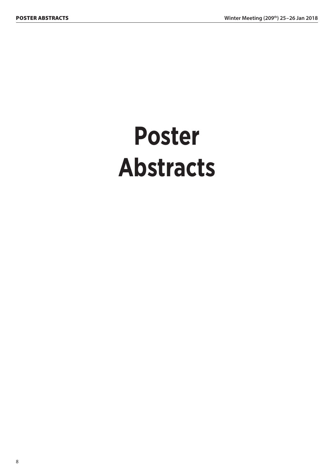# **Poster Abstracts**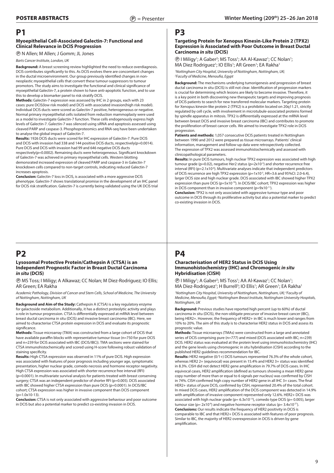### **Myoepithelial Cell-Associated Galectin-7: Functional and Clinical Relevance in DCIS Progression**

P N Allen; M Allen; J Gomm; JL Jones

*Barts Cancer Institute, London, UK*

**Background:** A breast screening review highlighted the need to reduce overdiagnosis. DCIS contributes significantly to this. As DCIS evolves there are concomitant changes in the ductal microenvironment. Our group previously identified changes in nonneoplastic myoepithelial cells that convert these tumour-suppressors to tumour promotors. The study aims to investigate the functional and clinical significance of myoepithelial Galectin-7, a protein shown to have anti-apoptotic function, and to use this to develop a biomarker panel to risk stratify DCIS.

**Methods:** Galectin-7 expression was assessed by IHC in 2 groups, each with 23 cases: pure DCIS(low risk model) and DCIS with associated invasion(high risk model). Individual DCIS ducts were scored as Galectin-7 positive, heterogeneous or negative. Normal primary myoepithelial cells isolated from reduction mammoplasty were used as a model to investigate Galectin-7 function. These cells endogenously express high levels of Galectin-7. Galectin-7 was silenced using siRNA and apoptosis assessed using cleaved PARP and caspase-3. Phosphoproteomics and RNA-seq have been undertaken to analyse the global impact of Galectin-7.

**Results:** 1926 DCIS ducts were scored for IHC expression of Galectin-7. Pure DCIS and DCIS with invasion had 338 and 144 positive DCIS ducts, respectively(p=0.0014). Pure DCIS and DCIS with invasion had 99 and 646 negative DCIS ducts

respectively(p=0.0002). Remaining ducts were heterogeneous. Significant knockdown of Galectin-7 was achieved in primary myoepithelial cells. Western blotting demonsrated increased expression of cleaved PARP and caspase-3 in Galectin-7 knockdown cells compared to non-target controls, indicating reduced Galectin-7 increases apoptosis.

**Conclusion:** Galectin-7 loss in DCIS, is associated with a more aggressive DCIS phenotype. Galectin-7 shows translational promise in the development of an IHC panel for DCIS risk stratification. Galectin-7 is currently being validated using the UK DCIS trial

# **P2**

### **Lysosomal Protective Protein/Cathepsin A (CTSA) is an Independent Prognostic Factor in Breast Ductal Carcinoma**  *in situ* **(DCIS)**

P MS Toss; I Miligy; A Alkawaz; CC Nolan; M Diez-Rodriguez; IO Ellis; AR Green; EA Rakha

*Academic Pathology, Division of Cancer and Stem Cells, School of Medicine, The University of Nottingham, Nottingham, UK*

**Background and Aim of the Study:** Cathepsin A (CTSA) is a key regulatory enzyme for galactoside metabolism. Additionally, it has a distinct proteolytic activity and plays a role in tumour progression. CTSA is differentially expressed at mRNA level between breast ductal carcinoma in situ (DCIS) and invasive breast carcinoma (IBC). Here, we aimed to characterise CTSA protein expression in DCIS and evaluate its prognostic significance.

**Methods:** Tissue microarray (TMA) was constructed from a large cohort of DCIS that have available paraffin blocks with representative tumour tissue (n=750 for pure DCIS and n=239 for DCIS associated with IBC (DCIS/IBC)). TMA sections were stained for CTSA immunohistochemically and scored using H-score following robust validation of staining specificity.

**Results:** High CTSA expression was observed in 11% of pure DCIS. High expression was associated with features of poor prognosis including younger age, symptomatic presentation, higher nuclear grade, comedo necrosis and hormone receptor negativity. High CTSA expression was associated with shorter recurrence free interval (RFI) (p=0.0001). In multivariate survival analysis for patients treated with breast conserving surgery; CTSA was an independent predictor of shorter RFI (p=0.005). DCIS associated with IBC showed higher CTSA expression than pure DCIS (p=0.0001). In DCIS/IBC cohort; CTSA expression was higher in invasive component than DCIS component (p=1.0x10-13).

**Conclusion:** CTSA is not only associated with aggressive behaviour and poor outcome in DCIS but also a potential marker to predict co-existing invasion in DCIS.

# **P3**

### **Targeting Protein for Xenopus Kinesin-Like Protein 2 (TPX2) Expression is Associated with Poor Outcome in Breast Ductal Carcinoma** *in situ* **(DCIS)**

**(B)** I Miligy<sup>1</sup>; A Gaber<sup>2</sup>; MS Toss<sup>1</sup>; AA Al-Kawaz<sup>1</sup>; CC Nolan<sup>1</sup>; MA Diez Rodriguez<sup>1</sup>; IO Ellis<sup>1</sup>; AR Green<sup>1</sup>; EA Rakha<sup>1</sup>

*1 Nottingham City Hospital, University of Nottingham, Nottingham, UK; 2 Faculty of Medicine, Menoufia, Egypt*

**Background:** The mechanisms underlying tumorigenesis and progression of breast ductal carcinoma in situ (DCIS) is still not clear. Identification of progression markers is crucial for determining which lesions are likely to become invasive. Therefore, it is a key point in both discovering new therapeutic targets and improving prognosis of DCIS patients to search for new transferred molecular markers. Targeting protein for Xenopus kinesin-like protein 2 (TPX2) is a prohibitin located on 20q11.21, strictly regulated by cell cycle, with involvement in microtubule-associated proteins formed by spindle apparatus in mitosis. TPX2 is differentially expressed at the mRNA level between breast DCIS and invasive breast carcinoma (IBC) and contributes to promote the proliferation of breast cancer cells. We aimed to investigate TPX2 role in DCIS progression.

**Patients and methods:** 1,057 consecutive DCIS patients treated in Nottingham between 1990 and 2012 were prepared as tissue microarrays. Patients' clinical information, management and follow-up data were retrospectively collected. The expression of TPX2 was assessed immunohistochemically and assessed with clinicopathological parameters.

**Results:** In pure DCIS tumours, high nuclear TPX2 expression was associated with high tumour grade (p=0.02), negative Her2 status (p=2x10-5) and shorter recurrence free interval (RFI) ( $p=2.1x10^{-6}$ ). Multivariate analyses indicate that independent predictors of DCIS recurrence are high TPX2 expression (p=1x10-5, HR=3.6 and 95%CI: 2.0-6.4), larger DCIS size and high nuclear grade. DCIS associated with IBC showed higher TPX2 expression than pure DCIS (p=5x10<sup>-10</sup>). In DCIS/IBC cohort; TPX2 expression was higher in DCIS component than in invasive component (p=9x10-11).

**Conclusion:** TPX2 is not only associated with aggressive tumour type and poor outcome in DCIS through its proliferative activity but also a potential marker to predict co-existing invasion in DCIS.

# **P4**

### **Characterisation of HER2 Status in DCIS Using Immunohistochemistry (IHC) and Chromogenic** *in situ* **Hybridisation (CISH)**

**(B)** I Miligy<sup>1</sup>; A Gaber<sup>2</sup>; MS Toss<sup>1</sup>; AA Al-Kawaz<sup>1</sup>; CC Nolan<sup>1</sup>; MA Diez-Rodriguez<sup>1</sup>; H Burrell<sup>3</sup>; IO Ellis<sup>1</sup>; AR Green<sup>1</sup>; EA Rakha<sup>1</sup>

<sup>1</sup> Nottingham City Hospital, University of Nottingham, Nottingham, UK; <sup>2</sup> Faculty of Medicine, Menoufia, Egypt; <sup>3</sup>Nottingham Breast Institute, Nottingham University Hospitals, *Nottingham, UK*

**Background:** Previous studies have reported high percent (up to 60%) of ductal carcinoma in situ (DCIS), the non-obligate precursor of invasive breast cancer (IBC), being HER2+. However, the frequency of HER2+ in IBC is much lower and ranges from 10% to 20%. The aim of this study is to characterise HER2 status in DCIS and assess its prognostic value.

**Methods:** Tissue microarrays (TMAs) were constructed from a large and annotated series of DCIS comprising pure (n=777) and mixed (DCIS associated with IBC; n=239) DCIS. HER2 status was evaluated at the protein level using immunohistochemistry (IHC) and the gene levels using chromogenic in situ hybridisation (CISH) according to the published HER2 guidelines recommendation for IBC.

**Results:** HER2 negative (0/1+) DCIS tumours represented 76.3% of the whole cohort, whereas HER2 2+ (equivocal) was present in 15.4% and HER2 3+ status was identified in 8.3%. CISH did not detect HER2 gene amplification in 79.7% of DCIS cases. In IHC equivocal cases, HER2 amplification (defined as tumours showing a mean HER2 gene copy number of more than or equal to 6 signals per nucleus) was confirmed by CISH in 74%. CISH confirmed high copy number of HER2 gene in all IHC 3+ cases. The final HER2+ status of pure DCIS, confirmed by CISH, represented 20.4% of the total cohort. In mixed DCIS cases, HER2 amplification of the DCIS component was detected in 14.9% with amplification of invasive component represented only 12.6%. HER2+ DCIS was associated with high nuclear grade ( $p= 6.3x10^{-13}$ ), comedo type DCIS ( $p= 0.005$ ), larger tumour size (p=  $2x10^{-6}$ ) and negative hormone receptor status (p=  $3.4x10^{-21}$ ). **Conclusions:** Our results indicate the frequency of HER2 positivity in DCIS is comparable to IBC and that HER2+ DCIS is associated with features of poor prognosis. Similar to IBC, the majority of HER2 overexpression in DCIS is driven by gene amplification.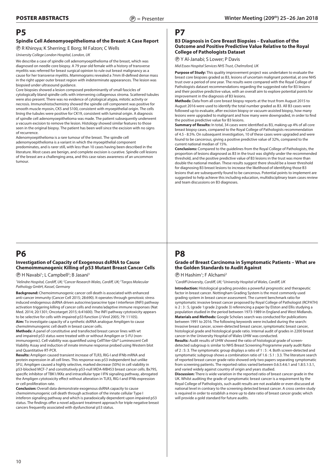### **Spindle Cell Adenomyoepithelioma of the Breast: A Case Report**

P R Khiroya; K Sherring; E Borg; M Falzon; C Wells

*University College London Hospital, London, UK*

We describe a case of spindle cell adenomyoepithelioma of the breast, which was diagnosed on needle core biopsy. A 79 year old female with a history of transverse myelitis was referred for breast surgical opinion to rule out breast malignancy as a cause for her transverse myelitis. Mammograms revealed a 7mm ill-defined dense mass in the right upper outer breast region with indeterminate appearances. The lesion was biopsied under ultrasound guidance.

Core biopsies showed a lesion composed predominantly of small fascicles of cytologically bland spindle cells with intervening collagenous stroma. Scattered tubules were also present. There was no evidence of cytological atypia, mitotic activity or necrosis. Immunohistochemistry showed the spindle cell component was positive for smooth muscle myosin, CK5 and S100, consistent with myoepithelial origin. The cells lining the tubules were positive for CK19, consistent with luminal origin. A diagnosis of spindle cell adenomyoepithelioma was made. The patient subsequently underwent a vacuum excision to remove the lesion. Histology showed similar features to those seen in the original biopsy. The patient has been well since the excision with no signs of recurrence.

Adenomyoepithelioma is a rare tumour of the breast. The spindle cell adenomyoepithelioma is a variant in which the myoepithelial component predominates, and is rarer still, with less than 10 cases having been described in the literature. Most cases are benign, and complete excision is curative. Spindle cell lesions of the breast are a challenging area, and this case raises awareness of an uncommon tumour.

# **P6**

### **Investigation of Capacity of Exogenous dsRNA to Cause Chemoimmunogenic Killing of p53 Mutant Breast Cancer Cells**

**D** H Navabi<sup>1</sup>; L Campbell<sup>2</sup>; B Jasani<sup>3</sup>

<sup>1</sup>Velindre Hospital, Cardiff, UK; <sup>2</sup> Cancer Research Wales, Cardiff, UK; <sup>3</sup> Targos Molecular *Pathology GmbH, Kassel, Germany*

**Background:** Chemoimmunogenic cancer cell death is associated with enhanced anti-cancer immunity (Cancer Cell 2015; 28:690). It operates through genotoxic stress induced endogenous dsRNA driven autocrine/paracrine type I interferon (INFI) pathway activation triggering killing of cancer cells and innate/adaptive immune responses (Nat Med. 2014; 20:1301; Oncotarget 2015; 6:41600). The INFI pathway cytotoxicity appears to be selective for cells with impaired p53 function (J Virol 2005; 79: 11105). **Aim:** To investigate capacity of a synthetic dsRNA analogue Ampligen to cause chemoImmunogenic cell death in breast cancer cells.

**Methods:** A panel of constitutive and transfected breast cancer lines with wt and impaired p53 status were treated with or without Ampligen or 5-FU (nonimmunogenic). Cell viability was quantified using CellTiter-Glo® Luminescent Cell Viability Assay and induction of innate immune response probed using Western blot and Quantitative RT-PCR.

**Results:** Ampligen caused transient increase of TLR3, RIG-I and IFNb mRNA and protein expression in all cell lines. This response was p53 independent but unlike 5FU, Ampligen caused a highly selective, marked decrease (50%) in cell viability in p53-blocked MCF-7 and constitutively p53-null MDA-MB453 breast cancer cells. Bx795, specific inhibitor of TBK1/IKKε and intracellular type I IFN signaling pathway, abrogated the Ampligen cytotoxicity effect without alteration in TLR3, RIG-I and IFNb expression or cell proliferation rate.

**Conclusion:** Overall data demonstrate exogenous dsRNA capacity to cause chemoimmunogenic cell death through activation of the innate cellular Type I inteferon signaling pathway and which is paradoxically dependent upon impaired p53 status. The findings offer a novel adjuvant treatment approach for triple negative breast cancers frequently associated with dysfunctional p53 status.

# **P7**

### **B3 Diagnosis in Core Breast Biopsies – Evaluation of the Outcome and Positive Predictive Value Relative to the Royal College of Pathologists Dataset**

P Y Al-Janabi; S Lower; P Davis

*Mid Essex Hospital Services NHS Trust, Chelmsford, UK*

**Purpose of Study:** This quality improvement project was undertaken to evaluate the breast core biopsies graded as B3, lesions of uncertain malignant potential, at one NHS trust over a period of one year. The results were compared with the Royal College of Pathologists dataset recommendations regarding the suggested rate for B3 lesions and their positive predictive value, with an overall aim to explore potential points for improvement in the diagnosis of B3 lesions.

**Methods:** Data from all core breast biopsy reports at the trust from August 2015 to August 2016 were used to identify the total number graded as B3. All B3 cases were followed up to evaluate, after excision biopsy or vacuum-assisted biopsy, how many lesions were upgraded to malignant and how many were downgraded, in order to find the positive predictive value for B3 lesions.

**Summary of Results:** In total, 34 cases were identified as B3, making up 4% of all core breast biopsy cases, compared to the Royal College of Pathologists recommendation of 4.5 - 8.5%. On subsequent investigation, 10 of these cases were upgraded and were found to be cancerous, giving a positive predictive value of 32%, compared to the current national median of 15%.

**Conclusions:** Compared to the guidelines from the Royal College of Pathologists, the proportion of lesions diagnosed as B3 in the trust was slightly under the recommended threshold, and the positive predictive value of B3 lesions in the trust was more than double the national median. These results suggest there should be a lower threshold for diagnosing B3 breast lesions to increase the likelihood of identifying those B3 lesions that are subsequently found to be cancerous. Potential points to implement are suggested to help achieve this including education, multidisciplinary team cases review and team discussions on B3 diagnoses.

# **P8**

### **Grade of Breast Carcinoma in Symptomatic Patients – What are the Golden Standards to Audit Against**

**<sup>®</sup>** H Hashim<sup>1</sup>; F Alchami<sup>2</sup>

<sup>1</sup> Cardiff University, Cardiff, UK; <sup>2</sup> University Hospital of Wales, Cardiff, UK

**Introduction:** Histological grading provides a powerful prognostic and therapeutic factor in breast cancer. Nottingham Grading System is the most commonly used grading system in breast cancer assessment. The current benchmark ratio for symptomatic invasive breast cancer proposed by Royal College of Pathologist (RCPATH) is 2 : 3 : 5, (grade 1:grade 2:grade 3) referencing a paper by Elston and Ellis studying a population studied in the period between 1973-1989 in England and West Midlands. **Materials and Methods:** Google Scholars search was conducted for publications between 1991 to 2016. The following keywords were included during the search: Invasive breast cancer, screen-detected breast cancer, symptomatic breast cancer, histological grade and histological grade ratio. Internal audit of grades in 2200 breast cancer in the University Hospital of Wales UHW was conducted.

**Results:** Audit results of UHW showed the ratio of histological grade of screendetected subgroup is similar to NHS Breast Screening Programme yearly audit Ratio of 2 : 5: 3. The symptomatic group displays a ratio of 1 : 5 : 4. Both screen-detected and symptomatic subgroup shows a combination ratio of 1.6 : 5.1 : 3.3. The literature search of reported breast cancer grade ratio showed only two papers separating symptomatic from screening patients. The reported ratios varied between 0.6:3.4:6.1 and 1.8:5.1:3.1, and varied widely against country of origin and years studied.

**Discussion:** There is wide variation in the reported ratio of breast cancer grade in the UK. Whilst auditing the grade of symptomatic breast cancer is a requirement by the Royal College of Pathologists, such audit results are not available or even discussed at national level in contrary to the screening detected breast cancer. A cross centre study is required in order to establish a more up to date ratio of breast cancer grade; which will provide a gold standard for future audits.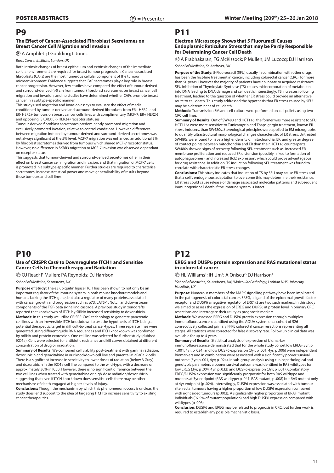#### **The Effect of Cancer-Associated Fibroblast Secretomes on Breast Cancer Cell Migration and Invasion**

P A Amphlett; I Goulding; L Jones

*Barts Cancer Institute, London, UK*

Both intrinsic changes of breast epithelium and extrinsic changes of the immediate cellular environment are required for breast tumour progression. Cancer-associated fibroblasts (CAFs) are the most numerous cellular component of the tumour microenvironment. Evidence suggests that CAF secretomes play a key role in breast cancer progression. However, few studies have compared the effect of tumour-derived and surround-derived (>5 cm from tumour) fibroblast secretomes on breast cancer cell migration and invasion, and no studies have determined whether CAFs promote breast cancer in a subtype-specific manner.

This study used migration and invasion assays to evaluate the effect of media conditioned by tumour-derived and surround-derived fibroblasts from ER+ HER2- and ER- HER2+ tumours on breast cancer cells lines with complimentary (MCF-7: ER+ HER2-) and opposing (SKBR3: ER- HER2+) receptor statuses.

Tumour-derived fibroblast secretomes predominantly promoted migration and exclusively promoted invasion, relative to control conditions. However, differences between migration induced by tumour-derived and surround-derived secretomes was not always significant at the 5% level. MCF-7 migration was enhanced an additional 3% by fibroblast secretomes derived from tumours which shared MCF-7 receptor status. However, no difference in SKBR3 migration or MCF-7 invasion was observed dependant on receptor status.

This suggests that tumour-derived and surround-derived secretomes differ in their effect on breast cancer cell migration and invasion, and that migration of MCF-7 cells is promoted in a subtype-specific manner. Further studies are required to characterise secretomes, increase statistical power and move generalisability of results beyond these tumours and cell lines.

# **P10**

### **Use of CRISPR Cas9 to Downregulate ITCH1 and Sensitise Cancer Cells to Chemotherapy and Radiation**

P OJ Read; P Mullen; PA Reynolds; DJ Harrison

#### *School of Medicine, St Andrews, UK*

**Purpose of Study:** The e3 ubiquitin ligase ITCH has been shown to not only be an important regulator of the immune system in both mouse knockout models and humans lacking the ITCH gene, but also a regulator of many proteins associated with cancer growth and progression such as p73, LATS-1, Notch and downstream components of the TGF-beta signalling cascade. A previous study in xenografts reported that knockdown of ITCH by SiRNA increased sensitivity to doxorubicin. **Methods:** In this study we utilise CRISPR-Cas9 technology to generate pancreatic cell lines with an irreversible ITCH knockdown to test the hypothesis of ITCH being a potential therapeutic target in difficult-to-treat cancer-types. Three separate lines were generated using different guide RNA sequences and ITCH knockdown was confirmed by mRNA and protein expression. One cell line was selected fro further study (dubbed IKO1a). Cells were selected for antibiotic resistance and kill curves obtained at different concentration of drug or irradiation.

**Summary of Results:** We compared cell viability post-treatment with gamma radiation, doxorubicin and gemcitabine in our knockdown cell line and parental MiaPaCa-2 cells. There is a significant increase in sensitivity to lower doses of radiation (below 3 Gray) and doxorubicin in the IKO1a cell line compared to the wild-type, with a decrease of approximately 30% in IC50. However, there is no significant difference between the two cell lines when treated with gemcitabine or high-dose radiation/doxorubicin suggesting that even if ITCH knockdown does sensitise cells there may be other mechanisms of death engaged at higher ;levels of injury.

**Conclusions:** Though the mechanism by which this phenomenon occurs is unclear, the study does lend support to the idea of targeting ITCH to increase sensitivity to existing cancer therapeutics.

# **P11**

### **Electron Microscopy Shows that 5 Fluoruracil Causes Endoplasmic Reticulum Stress that may be Partly Responsible for Determining Cancer Cell Death**

P A Prabhakaran; FG McKissock; P Mullen; JM Lucocq; DJ Harrison *School of Medicine, St. Andrews, UK*

**Purpose of the Study:** 5-Fluorouracil (5FU) usually in combination with other drugs, has been the first-line treatment in cancer, including colorectal cancer (CRC), for more than 50 years. However the majority of patients have an innate or acquired resistance. 5FU inhibition of Thymidylate Synthase (TS) causes misincorporation of metabolites into DNA leading to DNA damage and cell death. Interestingly, TS increases following treatment, leading to the question of whether ER stress could provide an alternative route to cell death. This study addressed the hypothesis that ER stress caused by 5FU may be a determinant of cell death.

**Methods:** Transmission EM and cell culture were performed on cell pellets using two CRC cell lines.

**Summary of Results:** Out of SW480 and HCT116, the former was more resistant to 5FU. HCT116s were more sensitive to Tunicamycin and Thapsigargin treatment, known ER stress inducers, than SW480s. Stereological principles were applied to EM micrographs to quantify ultrastructural morphological changes characteristic of ER stress. Untreated SW480s were found to have a higher density of mitochondria, ER, and greater degree of contact points between mitochondria and ER than their HCT116 counterparts. SW480s showed signs of recovery following 5FU treatment such as: increased ER membrane proliferation and reduced ER distension (possibly linked to formation of autophagosomes), and increased Bcl2 expression, which could prove advantageous for drug resistance. In addition, TS induction following 5FU treatment was found to

correlate with characteristic ER stress changes. **Conclusions:** This study indicates that induction of TS by 5FU may cause ER stress and that a cell's endogenous adaptation to overcome this may determine their resistance. ER stress could cause release of damage associated molecular patterns and subsequent immunogenic cell death if the immune system is intact.

# **P12**

### **EREG and DUSP6 protein expression and RAS mutational status in colorectal cancer**

 $\textcircled{P}$  HL Williams<sup>1</sup>; IH Um<sup>1</sup>; A Oniscu<sup>2</sup>; DJ Harrison<sup>1</sup>

*1 School of Medicine, St. Andrews, UK; 2 Molecular Pathology, Lothian NHS University Hospitals, UK*

**Purpose:** Numerous members of the MAPK signalling pathway have been implicated in the pathogenesis of colorectal cancer. EREG, a ligand of the epidermal growth factor receptor and DUSP6 a negative regulator of ERK1/2 are two such markers. In this study we aimed to assess the expression of EREG and DUPS6 at protein level in primary CRC resections and interrogate their utility as prognostic markers.

**Methods:** We assessed EREG and DUSP6 protein expression through multiplex immunofluorescence, quantified using the AQUA system on a cohort of 526 consecutively collected primary FFPE colorectal cancer resections representing all stages. All statistics were corrected for false discovery rate. Follow up clinical data was available for up to 4 years.

**Summary of Results:** Statistical analysis of expression of biomarker

immunofluorescence demonstrated that for the whole study cohort low EREG (3yr; p <.001, 4yr; p .024) and low DUSP6 expression (3yr; p .001, 4yr; p .006) were independent biomarkers and in combination were associated with a significantly poorer survival outcome (3yr; p .001, 4yr; p .024). In sub-group analysis using clinicopathological and genotypic parameters a poorer survival outcome was identified in RAS wildtypes for low EREG (3yr; p .004, 4yr; p .032) and DUSP6 expression (3yr; p .001). Combinatory EREG/DUSP6 expression was significantly prognostic for both RAS wildtype and mutants at 3yr endpoint (RAS wildtype; p .041, RAS mutant; p .008) but RAS mutant only at 4yr endpoint (p .024). Interestingly, DUSP6 expression was associated with tumour site, rectal tumours having a higher proportion of low DUSP6 expression compared with right sided tumours (p .002). A significantly higher proportion of BRAF mutant individuals (97.9% of mutant population) had high DUSP6 expression compared with wildtypes (p .006).

**Conclusion:** DUSP6 and EREG may be related to prognosis in CRC, but further work is required to establish any possible mechanistic basis.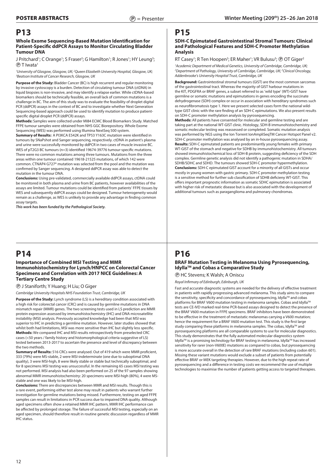### **Whole Exome Sequencing-Based Mutation Identification for Patient-Specific ddPCR Assays to Monitor Circulating Bladder Tumour DNA**

### J Pritchard<sup>1</sup>; C Orange<sup>1</sup>; S Fraser<sup>2</sup>; G Hamilton<sup>1</sup>; R Jones<sup>1</sup>; HY Leung<sup>3</sup>;  $(P)$  T Iwata

<sup>1</sup>University of Glasgow, Glasgow, UK; <sup>2</sup>Queen Elizabeth University Hospital, Glasgow, UK;<br><sup>3</sup>Beatson Institute of Cancer Besearch, Glasgow, UK *Beatson Institute of Cancer Research, Glasgow, UK*

**Purpose of the Study:** Bladder Cancer (BC) is high recurrent and regular monitoring by invasive cystoscopy is a burden. Detection of circulating tumour DNA (ctDNA) in liquid biopsies is non-invasive, and may identify a relapse earlier. While ctDNA-based biomarkers should be technically feasible, an overall lack of common mutations is a challenge in BC. The aim of this study was to evaluate the feasibility of droplet digital PCR (ddPCR) assays in the context of BC and to investigate whether Next Generation Sequencing-based approach could be used to identify mutation to produce patientspecific digital droplet PCR (ddPCR) assays.

**Methods:** Samples were collected under MI84 ECMC Blood Biomarkers Study. Matched FFPE tumour samples were obtained from NHS GGC Biorepository. Whole Exome Sequencing (WES) was performed using Illumina NextSeq 500 system.

**Summary of Results:** A PI3KCA E542K and TP53 Y163C mutation were identified in tumours by SNaPshot and Sanger sequencing, respectively. ctDNA in patient's plasma and urine were successfully monitored by ddPCR in two cases of muscle invasive BC. WES of pT2G3 BC tumours (n=3) identified 19674-39776 tumour-specific mutations. There were no common mutations among three tumours. Mutations from the three areas within one tumour contained 19618-21525 mutations, of which 142 were common. CTNAP4 G727\* mutation was selected from the pool and the mutation was confirmed by Sanger sequencing. A designed ddPCR assay was able to detect the mutation in the tumour DNA.

**Conclusions:** Using pre-validated, commercially available ddPCR assays, ctDNA could be monitored in both plasma and urine from BC patients, however availabilities of the assays are limited. Tumour mutations could be identified from patients' FFPE tissues by WES and subsequently ddPCR assays could be designed. Tumour heterogeneity would remain as a challenge, as WES is unlikely to provide any advantage in finding common assay targets.

*This work has been funded by the Pathological Society.*

# **P15**

### **SDH-C Epimutated Gastrointestinal Stromal Tumours: Clinical and Pathological Features and SDH-C Promoter Methylation Analysis**

### RT Casey<sup>1</sup>; R Ten Hoopen<sup>2</sup>; ER Maher<sup>1</sup>; VR Bulusu<sup>3</sup>; <sup>®</sup> OT Giger<sup>2</sup>

<sup>1</sup> Academic Department of Medical Genetics, University of Cambridge, Cambridge, UK; <sup>2</sup> Department of Pathology, University of Cambridge, Cambridge, UK;<sup>3</sup> Clinical Oncology, *Addenbrooke's University Hospital Trust, Cambridge, UK*

**Background:** Gastrointestinal stromal tumours (GIST) are the most common sarcomas of the gastrointestinal tract. Whereas the majority of GIST harbour mutations in the KIT, PDGFRA or BRAF genes, a subset referred to as 'wild type' (WT)-GIST have germline or somatic mutations and epimutations in genes encoding the succinate dehydrogenase (SDH) complex or occur in association with hereditary syndromes such as neurofibromatosis type 1. Here we present selected cases form the national wildtype GIST clinic with the rare finding of an SDH-C epimutations. We also present results on SDH-C promoter methylation analysis by pyrosequencing.

**Methods:** All patients have consented for molecular and germline testing and are taking part at the national WT-GIST clinic. Histology, SDH-B immunohistochemistry and somatic molecular testing was reassessed or completed. Somatic mutation analysis was performed by NGS using the Ion Torrent IonAmpliSeqTM Cancer Hotspot Panel v2. SDH-C promoter methylation was analysed by an in-house pyrosequencing assay. **Results:** SDH-C epimutated patients are predominantly young females with primary WT-GIST of the stomach and negative for SDHB by immunohistochemistry. All tumours showed immunohistochemical loss of SDH-B protein, suggesting deficiency of the SDH complex. Germline genetic analysis did not identify a pathogenic mutation in SDHA/ SDHB/SDHC and SDHD. The tumours showed SDH-C promoter hypermethylation. **Conclusions:** SDH-C epimutated GIST account for a minority of all GISTs and occur mostly in young women with gastric primary. SDH-C promoter methylation testing is a sensitive method for further sub classification of SDHB deficieny WT-GIST. This offers important prognostic information as somatic SDHC epimutation is associated with higher risk of metastatic disease but is also associated with the development of additional tumours such as paraganglioma and pulmonary chondromas.

# **P14**

### **Importance of Combined MSI Testing and MMR Immunohistochemistry for Lynch/HNPCC on Colorectal Cancer Specimens and Correlation with 2017 NICE Guidelines: A Tertiary Centre Study**

### P J Staniforth; Y Huang; H Liu; O Giger

*Cambridge University Hospitals NHS Foundation Trust, Cambridge, UK*

**Purpose of the Study:** Lynch syndrome (LS) is a hereditary condition associated with a high risk for colorectal cancer (CRC) and is caused by germline mutations in DNA mismatch repair (MMR) genes. The two screening tests used in LS prediction are MMR protein expression assessed by immunohistochemistry (IHC) and DNA microsatellite instability (MSI) analysis. Previously accepted knowledge had been that MSI was superior to IHC in predicting a germline mutation. However, later studies showed that whilst both had limitations, MSI was more sensitive than IHC but slightly less specific. **Methods:** We compared IHC and MSI results retrospectively from preselected CRC cases (<50 years / family history and histomorphological criteria suggestive of LS) tested between 2013-2017 to ascertain the presence and level of discrepancy between the two methods.

**Summary of Results:** 516 CRCs were analysed. Out of 419 which were MMR proficient, 333 (79%) were MS-stable, 2 were MSI-indeterminate (one due to suboptimal DNA quality), 3 were MSI-high, 8 were likely stable or stable but technically suboptimal, and for 8 specimens MSI testing was unsuccessful. In the remaining 65 cases MSI testing was not performed. MSI analysis had also been performed on 25 of the 97 samples showing abnormal MMR immunohistochemistry: 20 specimens were MSI-high (80%), 4 were MSstable and one was likely to be MSI-high.

**Conclusions:** There are discrepancies between MMR and MSI results. Though this is a rare event, performing either test alone may result in patients who warrant further investigation for germline mutations being missed. Furthermore, testing on aged FFPE samples can result in limitations in PCR success due to impaired DNA quality. Although aged specimens often show a retained MMR IHC pattern, MMR IHC performance can be affected by prolonged storage. The failure of successful MSI testing, especially on an aged specimen, should therefore result in routine genetic discussion regardless of MMR IHC status.

# **P16**

### **BRAF Mutation Testing in Melanoma Using Pyrosequencing, IdyllaTM and Cobas a Comparative Study**

P HC Stevens; K Walsh; A Oniscu

#### *Royal Infirmary of Edinburgh, Edinburgh, UK*

Fast and accurate diagnostic systems are needed for the delivery of effective treatment in patients with rapidly progressing advanced melanoma. This study aims to compare the sensitivity, specificity and concordance of pyrosequencing, Idylla™ and cobas platforms for BRAF V600 mutation testing in melanoma samples. Cobas and Idylla™ tests are CE-IVD marked real-time PCR-based assays designed to detect the presence of the BRAF V600 mutation in FFPE specimens. BRAF inhibitors have been demonstrated to be effective in the treatment of metastatic melanomas carrying a V600 mutation; hence the requirement for a BRAF V600 mutation test. This study is the first large study comparing these platforms in melanoma samples. The cobas, Idylla™ and pyrosequencing platforms are all comparable systems to use for molecular diagnostics. This study demonstrates that the fully automated molecular diagnostics system IdyllaTM is a promising technology for BRAF testing in melanoma. IdyllaTM has increased sensitivity for rarer (non-V600E) mutations as compared to cobas, but pyrosequencing is more accurate overall in the detection of rare BRAF mutations (including codon 601). Missing these variant mutations would exclude a subset of patients from potentially effective BRAF or MEK targeting therapies. However, due to the high repeat rate of pyrosequencing and a difference in testing costs we recommend the use of multiple technologies to maximise the number of patients getting access to targeted therapies.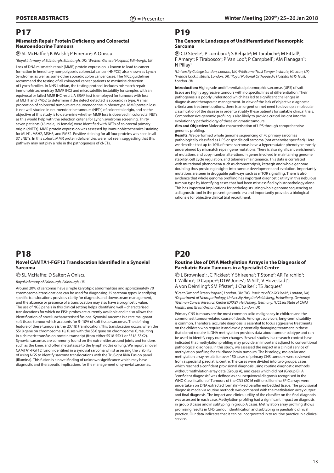### **Mismatch Repair Protein Deficiency and Colorectal Neuroendocrine Tumours**

**D SL McHaffie<sup>1</sup>; K Walsh<sup>1</sup>; P Fineron<sup>2</sup>; A Oniscu<sup>1</sup>** 

*1 Royal Infirmary of Edinburgh, Edinburgh, UK; 2 Western General Hospital, Edinburgh, UK*

Loss of DNA mismatch repair (MMR) protein expression is known to lead to cancer formation in hereditary non-polyposis colorectal cancer (HNPCC) also known as Lynch Syndrome, as well as some other sporadic colon cancer cases. The NICE guidelines recommend the testing of all colorectal cancer patients to maximise detection of Lynch families. In NHS Lothian, the testing protocol includes mismatch repair immunohistochemistry (MMR IHC) and microsatellite instability for samples with an equivocal or failed MMR IHC result. A BRAF test is employed for tumours with loss of MLH1 and PMS2 to determine if the defect detected is sporadic in type. A small proportion of colorectal tumours are neuroendocrine in phenotype. MMR protein loss is not well studied in neuroendocrine tumours (NETs) of colorectal origin, and so the objective of this study is to determine whether MMR loss is observed in colorectal NETs as this would help with the selection criteria for Lynch syndrome screening. Thirty seven patients (18 male, 19 female) were identified with NETs of colorectal primary origin (cNETs). MMR protein expression was assessed by immunohistochemical staining for MLH1, MSH2, MSH6, and PMS2. Positive staining for all four proteins was seen in all 37 cNETs. In this cohort, MMR protein deficiencies were not seen, suggesting that this pathway may not play a role in the pathogenesis of cNETs.

### **P18 Novel CAMTA1-FGF12 Translocation Identified in a Synovial Sarcoma**

#### P SL McHaffie; D Salter; A Oniscu

#### *Royal Infirmary of Edinburgh, Edinburgh, UK*

Around 20% of sarcomas have simple karyotipic abnormalities and approximately 70 chromosomal translocations can be used for diagnosing 35 sarcoma types. Identifying specific translocations provides clarity for diagnosis and downstream management, and the absence or presence of a translocation may also have a prognostic value. The use of NGS panels in this clinical setting helps identifying well – characterised translocations for which no FISH probes are currently available and it also allows the identification of novel uncharacterised fusions. Synovial sarcoma is a rare malignant soft tissue tumour which accounts for 5–10% of soft tissue sarcomas. The defining feature of these tumours is the t(X;18) translocation. This translocation occurs when the SS18 gene on chromosome 18, fuses with the SSX gene on chromosome X, resulting in a chimeric transfusion protein transcript (from either SS18-SSX1 or SS18-SSX2). Synovial sarcomas are commonly found on the extremities around joints and tendons such as the knee, and often metastasize to the lymph nodes or lung. We report a novel CAMTA1-FGF12 fusion identified in a synovial sarcoma whilst assessing the viability of using NGS to identify sarcoma translocations with the TruSight RNA Fusion panel (Illumina). This fusion is a novel finding of unknown significance which may have diagnostic and therapeutic implications for the management of synovial sarcomas.

# **P19**

### **The Genomic Landscape of Undifferentiated Pleomorphic Sarcoma**

**(B)** CD Steele<sup>1</sup>; P Lombard<sup>1</sup>; S Behjati<sup>2</sup>; M Tarabichi<sup>3</sup>; M Fittall<sup>3</sup>; F Amary<sup>4</sup>; R Tirabosco<sup>4</sup>; P Van Loo<sup>3</sup>; P Campbell<sup>2</sup>; AM Flanagan<sup>1</sup>;  $N$  Pillav<sup>1</sup>

*1 University College London, London, UK; 2 Wellcome Trust Sanger Institute, Hinxton, UK; 3 Francis Crick Institute, London, UK; 4 Royal National Orthopaedic Hospital NHS Trust, London, UK*

**Introduction:** High grade undifferentiated pleomorphic sarcomas (UPS) of soft tissue are highly aggressive tumours with no specific lines of differentiation. Their pathogenesis is poorly understood which has led to significant challenges in diagnosis and therapeutic management. In view of the lack of objective diagnostic criteria and treatment options, there is an urgent unmet need to develop a molecular classification of the disease in order to stratify these patients for suitable clinical trials. Comprehensive genomic profiling is also likely to provide critical insight into the evolutionary pathobiology of these enigmatic tumours.

**Aim and Objective:** Molecular characterisation of UPS through comprehensive genomic profiling.

**Results:** We performed whole genome sequencing of 70 primary sarcomas pathologically classified as UPS or spindle cell sarcoma (not otherwise specified). Here we describe that up to 10% of these sarcomas have a hypermutator phenotype mostly underpinned by mismatch repair gene mutations. There is also significant enrichment of mutations and copy number alterations in genes involved in maintaining genome stability, cell cycle regulation, and telomere maintenance. This data is correlated with mutational phenomena such as chromothripsis, kataegis and whole genome doubling thus providing insights into tumour development and evolution. Importantly mutations are seen in druggable pathways such as mTOR signalling. There is also evidence that whole genome profiling has important diagnostic utility in this nebulous tumour type by identifying cases that had been misclassified by histopathology alone. This has important implications for pathologists using whole genome sequencing as a diagnostic tool in the present genomic era and importantly provides a biological rationale for objective clinical trial recruitment.

# **P20**

### **Routine Use of DNA Methylation Arrays in the Diagnosis of Paediatric Brain Tumours in a Specialist Centre**

**(B)** L Brownlee<sup>1</sup>; JC Pickles<sup>2</sup>; Y Shireena<sup>2</sup>; T Stone<sup>2</sup>; AR Fairchild<sup>2</sup>; L Wilkhu<sup>1</sup>; D Capper<sup>3</sup>; DTW Jones<sup>4</sup>; M Sill<sup>4</sup>; V Hovestadt<sup>4</sup>; A von Deimling<sup>4</sup>; SM Pfister<sup>4</sup>; J Chalker<sup>1</sup>; TS Jacques<sup>5</sup>

<sup>1</sup> Great Ormond Street Hospital, London, UK;<sup>2</sup> <sup>1</sup>Great Ormond Street Hospital, London, UK; <sup>2</sup>UCL Institute of Child Health, London, UK;<br><sup>3</sup>Department of Neuropathology, University Hospital Heidelberg, Heidelberg, Germany; *4 German Cancer Research Center (DKFZ), Heidelberg, Germany; 5 UCL Institute of Child Health, and Great Ormond Street Hospital, London, UK*

Primary CNS tumours are the most common solid malignancy in children and the commonest tumour-related cause of death. Amongst survivors, long-term disability is common. Therefore, accurate diagnosis is essential to focus aggressive treatments on the children who require it and avoid potentially damaging treatment in those that do not require it. DNA methylation provides data about tumour subtype and can be used to identify copy number changes. Several studies in a research context have indicated that methylation profiling may provide an important adjunct to conventional pathological diagnosis. In this study, we assessed the impact in a clinical service of methylation profiling for childhood brain tumours. The histology, molecular and methylation array results for over 150 cases of primary CNS tumours were reviewed from a specialist paediatric centre. The cases were divided into two groups: cases which reached a confident provisional diagnosis using routine diagnostic methods without methylation array data (Group A), and cases which did not (Group B). A "confident diagnosis" was defined as an unequivocal diagnosis recognised in the WHO Classification of Tumours of the CNS (2016 edition). Illumina EPIC arrays were undertaken on DNA extracted formalin-fixed paraffin embedded tissue. The provisional diagnosis made via routine methods was compared with the methylation array output and final diagnosis. The impact and clinical utility of the classifier on the final diagnosis was assessed in each case. Methylation profiling had a significant impact on diagnosis in group B cases and in subtyping in group A cases. Methylation array profiling shows promising results in CNS tumour identification and subtyping in paediatric clinical practice. Our data indicates that it can be incorporated in to routine practice in a clinical service.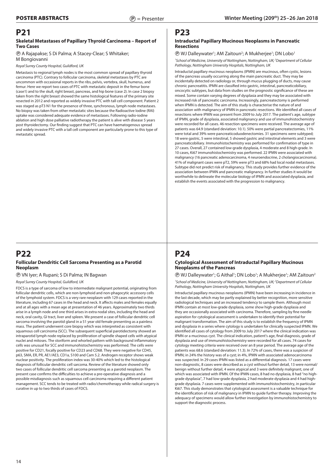### **Skeletal Metastases of Papillary Thyroid Carcinoma – Report of Two Cases**

### P A Rajapakse; S Di Palma; A Stacey-Clear; S Whitaker; M Bongiovanni

*Royal Surrey County Hospital, Guildford, UK*

Metastasis to regional lymph nodes is the most common spread of papillary thyroid carcinoma (PTC). Contrary to follicular carcinoma, skeletal metastases by PTC are uncommon with occasional reports in the ribs, pelvis, vertebra, skull, humerus, and femur. Here we report two cases of PTC with metastatic deposit in the femur bone (case1) and to the skull, right breast, pancreas, and hip bone (case 2). In case 2 biopsy taken from the right breast showed the same histological features of the primary site resected in 2012 and reported as widely invasive PTC with tall cell component. Patient 2 was staged as pT3 N1 for the presence of three, synchronous, lymph node metastases. No biopsy was taken from other metastatic sites because the Radioactive Iodine (RAI) uptake was considered adequate evidence of metastases. Following radio-iodine ablation and high dose palliative radiotherapy the patient is alive with disease 5 years post thyroidectomy. Our finding suggest that PTC can have haematogenous spread and widely invasive PTC with a tall cell component are particularly prone to this type of metastatic spread.

### **P22 Follicular Dendritic Cell Sarcoma Presenting as a Parotid Neoplasm**

P VN Iyer; A Rupani; S Di Palma; IN Bagwan

*Royal Surrey County Hospital, Guildford, UK*

FDCS is a type of sarcoma of low to intermediate malignant potential, originating from follicular dendritic cells, which are non-lymphoid and non-phagocytic accessory cells of the lymphoid system. FDCS is a very rare neoplasm with 129 cases reported in the literature, including 67 cases in the head and neck. It affects males and females equally and at all ages with a mean age at presentation of 46 years. Approximately two thirds arise in a lymph node and one third arises in extra nodal sites, including the head and neck, oral cavity, GI tract, liver and spleen. We present a case of follicular dendritic cell sarcoma involving the parotid gland in a 51 year old female presenting as a painless mass. The patient underwent core biopsy which was interpreted as consistent with squamous cell carcinoma (SCC). The subsequent superficial parotidectomy showed an intraparotid lymph node replaced by proliferation of spindle shaped cells with atypical nuclei and mitoses. The storiform and whorled pattern with background inflammatory cells was unusual for SCC and immunohistochemistry was performed. The cells were positive for CD21, focally positive for CD23 and CD68. They were negative for CD45, p63, SMA, ER, PR, AE1/AE3, CD1a, S100 and Cam 5.2. Androgen receptor shows weak nuclear positivity. The proliferation index was 30-40% which led to the histological diagnosis of follicular dendritic cell sarcoma. Review of the literature showed only two cases of follicular dendritic cell sarcoma presenting as a parotid neoplasm. The present case confirms the difficulties to achieve a pre-operative diagnosis and a possible misdiagnosis such as squamous cell carcinoma requiring a different patient management. SCC tends to be treated with radio/chemotherapy while radical surgery is curative in up to two thirds of cases of FDCS.

# **P23**

### **Intraductal Papillary Mucinous Neoplasms in Pancreatic Resections**

**(B)** WJ Dalleywater<sup>1</sup>; AM Zaitoun<sup>2</sup>; A Mukherjee<sup>1</sup>; DN Lobo<sup>1</sup>

<sup>1</sup> School of Medicine, University of Nottingham, Nottingham, UK;<sup>2</sup> Department of Cellular *Pathology, Nottingham University Hospitals, Nottingham, UK*

Intraductal papillary mucinous neoplasms (IPMN) are mucinous, often cystic, lesions of the pancreas usually occurring along the main pancreatic duct. They may be incidentally detected on radiology or, through mucus plugging of ducts, may cause chronic pancreatitis. IPMN are classified into gastric, intestinal, pancreaticobiliary, oncocytic subtypes, but data from studies on the prognostic significance of these are mixed. Some contain varying degrees of dysplasia and they may be associated with increased risk of pancreatic carcinoma. Increasingly, pancreatectomy is performed when IPMN is detected. The aim of this study is characterise the nature of and association with malignancy of IPMN in pancreatic resections. We identified all cases of resections where IPMN was present from 2009 to July 2017. The patient's age, subtype of IPMN, grade of dysplasia, associated malignancy and use of immunohistochemistry were recorded for all cases. 46 resection specimens were received. The average age of patients was 64.9 (standard deviation: 10.1). 50% were partial pancreatectomies, 11% were total and 39% were pancreaticoduodenectomies. 31 specimens were subtyped; 18 were gastric, 5 were intestinal, 5 showed gastric and intestinal elements and 3 were pancreaticobiliary. Immunohistochemistry was performed for confirmation of type in 27 cases. Overall, 27 contained low-grade dysplasia, 4 moderate and 8 high-grade. In 10 cases, Ki67 immunohistochemistry was performed. 22 IPMN were associated with malignancy (16 pancreatic adenocarcinoma, 4 neuroendocrine, 2 cholangiocarcinoma). 41% of malignant cases were pT2, 59% were pT3 and 68% had local nodal metastases. Subtype did not predict risk of malignancy. This study provides further evidence of the association between IPMN and pancreatic malignancy. In further studies it would be worthwhile to delineate the molecular biology of IPMN and associated dysplasia, and establish the events associated with the progression to malignancy.

# **P24**

### **Cytological Assessment of Intraductal Papillary Mucinous Neoplasms of the Pancreas**

**(B)** WJ Dalleywater<sup>1</sup>; G Aithal<sup>1</sup>; DN Lobo<sup>1</sup>; A Mukherjee<sup>1</sup>; AM Zaitoun<sup>2</sup> <sup>1</sup> School of Medicine, University of Nottingham, Nottingham, UK;<sup>2</sup> Department of Cellular *Pathology, Nottingham University Hospitals, Nottingham, UK*

Intraductal papillary mucinous neoplasms (IPMN) have been increasing in incidence in the last decade, which may be partly explained by better recognition, more sensitive radiological techniques and an increased tendency to sample them. Although most IPMN contain at most low-grade dysplasia, some show high-grade dysplasia and they are occasionally associated with carcinoma. Therefore, sampling by fine needle aspiration for cytological assessment is undertaken to identify their potential for malignant transformation. The aim of this study is to establish the frequency of IPMN and dysplasia in a series where cytology is undertaken for clinically suspected IPMN. We identified all cases of cytology from 2009 to July 2017 where the clinical indication was IPMN or a mucinous cyst. The clinical indication, patient's age, final diagnosis, grade of dysplasia and use of immunohistochemistry were recorded for all cases. 74 cases for cytology meeting criteria were received over an 8 year period. The average age of the patients was 68.6 (standard deviation: 11.3). In 72% of cases, there was a suspicion of IPMN; in 24% the history was of a cyst; in 4%, IPMN with associated adenocarcinoma was suspected. In 29 cases IPMN was listed as a differential diagnosis. 17 cases were non-diagnostic, 8 cases were described as a cyst without further detail, 13 were normal/ benign without further detail, 4 were atypical and 3 were definitely malignant, one of which was associated with IPMN. Of the IPMN cases, 8 had no dysplasia, 8 had "no highgrade dysplasia", 7 had low-grade dysplasia, 2 had moderate dysplasia and 4 had highgrade dysplasia. 7 cases were supplemented with immunohistochemistry, in particular Ki67. This study demonstrates that cytological assessment is a valuable technique for the identification of risk of malignancy in IPMN to guide further therapy. Improving the adequacy of specimens would allow further investigation by immunohistochemistry to support the diagnostic process.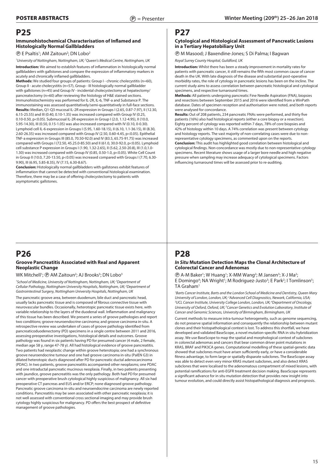### **Immunohistochemical Characterisation of Inflamed and Histologically Normal Gallbladders**

### **D** E Psaltis<sup>1</sup>; AM Zaitoun<sup>2</sup>; DN Lobo<sup>2</sup>

<sup>1</sup> University of Nottingham, Nottingham, UK; <sup>2</sup> Queen's Medical Centre, Nottingham, UK

**Introduction:** We aimed to establish features of inflammation in histologically normal gallbladders with gallstones and compare the expression of inflammatory markers in acutely and chronically inflamed gallbladders.

**Methods:** We studied four groups of patients: Group I - chronic cholecystitis (n=60), Group II - acute cholecystitis (n=57), Group - III histologically normal gallbladder with gallstones (n=45) and Group IV - incidental cholecystectomy at hepatectomy/ pancreatectomy (n=60) after reviewing the histology of H&E stained sections. Immunohistochemistry was performed for IL-2R, IL-6, TNF-a and Substance P. The immunostaining was assessed quantitatively/semi-quantitatively in full-face sections. **Results:** Median, Q1-Q3 mucosal IL-2R expression in Groups I (2.65, 0.87-7.97), II (12.30, 6.15-25.55) and III (0.40, 0.10-1.35) was increased compared with Group IV (0.25, 0.10-0.50, p<0.05). Submucosal IL-2R expression in Group I (2.0, 1.12-4.95), II (10.0, 5.95-14.30), III (0.50, 0.15-1.05) was also increased compared with IV (0.10, 0-0.30). Lymphoid cell IL-6 expression in Groups I (5.95, 1.60-18.15), II (6.10, 1.1-36.15), III (8.30, 2.60-26.35) was increased compared with Group IV (2.50, 0.60-4.45, p<0.05). Epithelial TNF-a expression in Groups III (85.0, 70.50-92.0) and IV (83.5, 65.75-91.75) was increased compared with Groups I (72.50, 45.25.0-85.50) and II (61.0, 30.0-92.0, p<0.05). Lymphoid cell substance P expression in Groups I (1.90, 1.32-2.65), II (5.62, 2.50-20.8), III (1.0,1.0- 1.30) was increased compared with Group IV (0.85, 0.50-1.0, p<0.05). White Cell Count in Group II (10.0, 7.20-13.50, p<0.05) was increased compared with Groups I (7.70, 6.30- 9.90), III (6.95, 5.85-8.35), IV (7.15, 6.30-8.67).

**Conclusion:** Histologically normal gallbladders with gallstones exhibit features of inflammation that cannot be detected with conventional histological examination. Therefore, there may be a case of offering cholecystectomy to patients with asymptomatic gallstones.

# **P26**

### **Groove Pancreatitis Associated with Real and Apparent Neoplastic Change**

### WK Mitchell1 ; P AM Zaitoun2 ; AJ Brooks3 ; DN Lobo3

<sup>1</sup> School of Medicine, University of Nottingham, Nottingham, UK;<sup>2</sup> Department of *Cellular Pathology, Nottingham University Hospitals, Nottingham, UK; 3 Department of Gastrointestinal Surgery, Nottingham University Hospitals, Nottingham, UK*

The pancreatic groove area, between duodenum, bile duct and pancreatic head, usually lacks pancreatic tissue and is composed of fibrous connective tissue with neurovascular bundles. Occasionally, heterotopic pancreatic tissue exists here, with variable relationship to the layers of the duodenal wall. Inflammation and malignancy of this tissue has been described. We present a series of groove pathologies and report two conditions; groove neuroendocrine carcinoma; and groove carcinoma in-situ. A retrospective review was undertaken of cases of groove pathology identified from pancreaticoduodenectomy (PD) specimens in a single centre between 2011 and 2016, assessing preoperative investigations, histological details and outcomes. Groove pathology was found in six patients having PD for presumed cancer (4 male, 2 female, median age 58 y, range 47-78 y). All had histological evidence of groove pancreatitis. Two patients had neoplastic change within groove heterotopia; one had a synchronous groove neuroendocrine tumour and one had groove carcinoma in-situ (PaIEN G3) in dilated heterotopic ducts diagnosed after PD for pancreatic ductal adenocarcinoma (PDAC). In two patients, groove pancreatitis accompanied other neoplasms; one PDAC and one intraductal pancreatic mucinous neoplasia. Finally, in two patients presenting with jaundice, groove pancreatitis was the only pathology. Both had PD for presumed cancer with preoperative brush cytological highly suspicious of malignancy. All six had preoperative CT pancreas and EUS and/or ERCP; none diagnosed groove pathology. Pancreatic groove carcinoma in-situ and neuroendocrine carcinoma are newly reported conditions. Pancreatitis may be seen associated with other pancreatic neoplasia; it is not well assessed with conventional cross sectional imaging and may provide brush cytology highly suspicious for malignancy. PD offers the best prospect of definitive management of groove pathologies.

# **P27**

### **Cytological and Histological Assessment of Pancreatic Lesions in a Tertiary Hepatobiliary Unit**

### P M Masood; J Baxendine-Jones; S Di Palma; I Bagwan

*Royal Surrey County Hospital, Guildford, UK*

**Introduction:** Whilst there has been a steady improvement in mortality rates for patients with pancreatic cancer, it still remains the fifth most common cause of cancer death in the UK. With late diagnosis of the disease and substantial post-operative morbidity rates, the role of cytology in pancreatic lesions has been on the incline. The current study aims to assess correlation between pancreatic histological and cytological specimens, and respective turnaround times.

**Methods:** All patients undergoing pancreatic Fine Needle Aspiration (FNA), biopsies and resections between September 2015 and 2016 were identified from a WinPath database. Dates of specimen reception and authorisation were noted, and both reports were analysed for concordance.

**Results:** Out of 208 patients, 234 pancreatic FNAs were performed, and thirty five patients (16%) also had histological reports (either a core biopsy or a resection). Eighty percent of cytology was reported within 7 days, 78% of core biopsies and 42% of histology within 10 days. A 74% correlation was present between cytology and histology reports. The vast majority of non-correlating cases were due to nonrepresentative cytology specimens, as commented upon on the reports.

**Conclusion:** This audit has highlighted good correlation between histological and cytological findings. Non-concordance was mostly due to non-representative cytology specimens. Recent literature shows usage of a larger bore needle and high negative pressure when sampling may increase adequacy of cytological specimens. Factors influencing turnaround times will be assessed prior to re-auditing.

# **P28**

### *In Situ* **Mutation Detection Maps the Clonal Architecture of Colorectal Cancer and Adenomas**

**(B)** A-M Baker<sup>1</sup>; W Huang<sup>1</sup>; X-MM Wang<sup>2</sup>; M Jansen<sup>3</sup>; X-J Ma<sup>2</sup>; E Domingo<sup>4</sup>; NA Wright<sup>1</sup>; M Rodriguez-Justo<sup>3</sup>; E Park<sup>2</sup>; I Tomlinson<sup>5</sup>; TA Graham1

<sup>1</sup> Barts Cancer Institute, Barts and the London School of Medicine and Dentistry, Queen Mary University of London, London, UK; <sup>2</sup>Advanced Cell Diagnostics, Newark, California, USA;<br><sup>3</sup>UCL Cancer Institute, University College London, London, UK; <sup>4</sup>Denartment of Oncology *UCL Cancer Institute, University College London, London, UK; 4 Department of Oncology, University of Oxford, Oxford, UK; 5 Cancer Genetics and Evolution Laboratory, Institute of Cancer and Genomic Sciences, University of Birmingham, Birmingham, UK*

Current methods to measure intra-tumour heterogeneity, such as genome sequencing, do not preserve spatial information and consequently the relationship between mutant clones and their histopathological context is lost. To address this shortfall, we have developed and validated BaseScope, a novel mutation-specific RNA in situ hybridization assay. We use BaseScope to map the spatial and morphological context of subclones in colorectal adenomas and cancers that bear common driver point mutations in KRAS, BRAF and PIK3CA genes. Computational modelling of these spatial-genetic data showed that subclones must have arisen sufficiently early, or have a considerable fitness advantage, to form large or spatially disparate subclones. The BaseScope assay was able to detect even very minor KRAS mutant subclones, and also detect KRAS subclones that were localised to the adenomatous compartment of mixed lesions, with potential ramifications for anti-EGFR treatment decision making. BaseScope represents a significant advance for in situ mutation detection that provides new insight into tumour evolution, and could directly assist histopathological diagnosis and prognosis.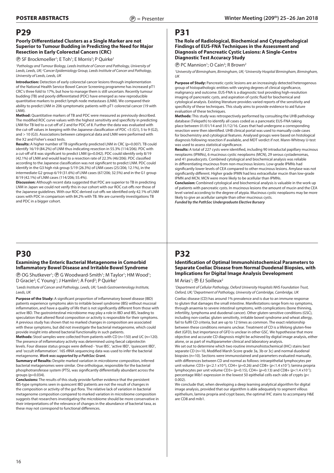### **Poorly Differentiated Clusters as a Single Marker are not Superior to Tumour Budding in Predicting the Need for Major Resection in Early Colorectal Cancers (CRC)**

**(B)** SF Brockmoeller<sup>1</sup>; E Toh<sup>1</sup>; E Morris<sup>2</sup>; P Quirke<sup>1</sup>

<sup>1</sup> Pathology and Tumour Biology, Leeds Institute of Cancer and Pathology, University of *Leeds, Leeds, UK; 2 Cancer Epidemiology Group, Leeds Institute of Cancer and Pathology, University of Leeds, Leeds, UK*

**Introduction:** Detection of early colorectal cancer lesions through implementation of the National Health Service Bowel Cancer Screening programme has increased pT1 CRC's three fold to 17%, but how to manage them is still uncertain. Recently tumour budding (TB) and poorly differentiated (PDC) have emerged as new reproducible quantitative markers to predict lymph node metastases (LNM). We compared their ability to predict LNM in 206 symptomatic patients with pT1 colorectal cancer (19 with LNM).

**Method:** Quantitative markers of TB and PDC were measured as previously described. The modified ROC curve values with the highest sensitivity and specificity in predicting LNM for TB led to a cut-off of 2 and for PDC of 8. Further the data was evaluated with the cut-off values in keeping with the Japanese classification of PDC <5 (G1), 5 to 9 (G2), and > 10 (G3). Associations between categorical data and LNM were performed with the X2 and Fisher's exact tests.

**Results:** A higher number of TB significantly predicted LNM in CRC (p=0.007). TB could identify 16/19 (84.2%) of LNM thus indicating resection in 55.3% (114/206). PDC with a cut-off of 8 was significant to predict LNM (p=0.042). PDC could identify only 8/19 (42.1%) of LNM and would lead to a resection rate of 22.3% (46/206). PDC classified according to the Japanese classification was not significant to predict LNM. PDC could identify in the G3 high risk group 5/19 (26.3%) of LNM cases (25/206; 12.1%), in the intermediate G2 group 6/19 (31.6%) of LNM cases (67/206; 32.5%) and in the G1 group 8/19 (42.1%) of LNM cases (114/206; 55.4%).

**Discussion:** Although recent data suggested that PDC are superior to TB in predicting LNM in Japan we could not verify this in our cohort with our ROC cut-offs nor those of the Japanese guidelines. With our ROC derived cut-offs we identified only 42.1% of LNM cases with PDC in comparison with 84.2% with TB. We are currently investigations TB and PDC in a bigger cohort.

# **P31**

### **The Role of Radiological, Biochemical and Cytopathological Findings of EUS-FNA Techniques in the Assessment and Diagnosis of Pancreatic Cystic Lesions: A Single-Centre Diagnostic Test Accuracy Study**

**(B)** PC Mannion<sup>1</sup>; O Cain<sup>2</sup>; R Brown<sup>2</sup>

<sup>1</sup> University of Birmingham, Birmingham, UK; <sup>2</sup> University Hospital Birmingham, Birmingham, *UK*

Purpose of Study: Pancreatic cystic lesions are an increasingly detected heterogenous group of histopathologic entities with varying degrees of clinical significance, malignancy and outcome. EUS-FNA is a diagnostic tool providing high-resolution imaging of pancreatic cysts, and aspiration of cystic fluid for biochemical and cytological analysis. Existing literature provides varied reports of the sensitivity and specificity of these techniques. This study aims to provide evidence to aid future evaluation of these techniques.

**Methods:** This study was retrospectively performed by consulting the UHB pathology database (Telepath) to identify all cases coded as a pancreatic EUS-FNA taking place between 01/01/14 and 31/12/16. Cases that had undergone a corresponding resection were then identified. UHB clinical portal was used to manually code cases for biochemistry and cytological features. Analysed groups were based on histological diagnosis following resection if available, and MDT verdict if not. Mann-Whitney U-test was used to assess statistical significance.

**Results:** A total of 227 cysts were identified, including 90 intraductal papillary mucinous neoplasms (IPMNs), 6 mucinous cystic neoplasms (MCN), 29 serous cystadenomas, and 41 pseudocysts. Combined cytological and biochemical analysis was reliable in differentiating mucinous from non-mucinous lesions. Low-grade IPMNs had significantly lower levels of CEA compared to other mucinous lesions. Amylase was not significantly different. Higher grade IPMN had less extracellular mucin than low-grade IPMN and MCN. MCN were more likely to be acellular than IPMNs.

**Conclusion:** Combined cytological and biochemical analysis is valuable in the work up of patients with pancreatic cysts. In mucinous lesions the amount of mucin and the CEA level varied according to the degree of atypia. Mucinous cystic neoplasms may be more likely to give an acellular sample than other mucinous cysts. *Funded by the PathSoc Undergraduate Elective Bursary*

# **P30**

### **Examining the Enteric Bacterial Metagenome in Comorbid Inflammatory Bowel Disease and Irritable Bowel Syndrome**

*<b>@ OG Shutkever<sup>1</sup>; @ G Woodward-Smith<sup>1</sup>; M Taylor<sup>1</sup>; HM Wood<sup>1</sup>;* D Gracie<sup>2</sup>; C Young<sup>1</sup>; J Hamlin<sup>2</sup>; A Ford<sup>2</sup>; P Quirke<sup>1</sup>

*1 Leeds Institute of Cancer and Pathology, Leeds, UK; 2 Leeds Gastroenterology Institute, Leeds, UK*

**Purpose of the Study:** A significant proportion of inflammatory bowel disease (IBD) patients experience symptoms akin to irritable bowel syndrome (IBS) without mucosal inflammation, and have a quality of life that is not significantly different from those with active IBD. The gastrointestinal microbiome may play a role in IBD and IBS, leading to speculation that altered floral composition or activity is responsible for their symptoms. A previous study has shown that no marked changes in composition are associated with these symptoms, but did not investigate the bacterial metagenome, which could provide insight into altered bacterial functionality in such patients.

**Methods:** Stool samples were collected from patients with CD (n=150) and UC (n=120). The presence of inflammatory activity was determined using faecal calprotectin levels. Four disease status groups were defined - 'true IBS', 'active IBD', 'quiescent IBD', and 'occult inflammation'. 16S rRNA sequencing data was used to infer the bacterial metagenome. *Work was supported by a PathSoc Grant.*

**Summary of Results:** Despite marked variation in microbiome composition, inferred bacterial metagenomes were similar. One orthologue, responsible for the bacterial phosphotransferase system (PTS), was significantly differentially abundant across the groups (p=0.034).

**Conclusions:** The results of this study provide further evidence that the persistent IBS-type symptoms seen in quiescent IBD patients are not the result of changes in the composition or activity of the gut flora. The relative lack of variation in bacterial metagenome composition compared to marked variation in microbiome composition suggests that researchers investigating the microbiome should be more conservative in their interpretations of the relevance of changes in the abundance of bacterial taxa, as these may not correspond to functional differences.

# **P32**

**Identification of Optimal Immunohistochemical Parameters to Separate Coeliac Disease from Normal Duodenal Biopsies, with Implications for Digital Image Analysis Development**

### M Arias<sup>1</sup>;  $\circledR$  EJ Soilleux<sup>2</sup>

*1 Department of Cellular Pathology, Oxford University Hospitals NHS Foundation Trust, Oxford, UK; 2 Department of Pathology, University of Cambridge, Cambridge, UK*

Coeliac disease (CD) has around 1% prevalence and is due to an immune response to gluten that damages the small intestine. Manifestations range from no symptoms, through anaemia to severe intestinal symptoms, with complications (bone thinning, infertility, lymphoma and duodenal cancer). Other gluten-sensitive conditions (GSC), including non-coeliac gluten sensitivity, irritable bowel syndrome and wheat allergy, fail to fulfil CD criteria, but are up to 12 times as common. The exact relationship between these conditions remains unclear. Treatment of CD is a lifelong gluten-free diet (GFD), but importance of GFD is unclear in other GSC. We hypothesise that more objective and accurate CD diagnosis might be achieved by digital image analysis, either alone, or as part of multiparameter clinical and laboratory analysis.

We set out to determine which two routine immunohistochemical (IHC) stains best separate CD (n=10, Modified Marsh Score grade 3a, 3b or 3c) and normal duodenal biopsies (n=10). Sections were immunostained and parameters evaluated manually, with differences between CD and normal as follows: intraepithelial lymphocytes per unit volume: CD3+ (*p*<2.1 x10-6), CD4+ (*p*=0.26) and CD8+ (*p*<1.4 x10-7); lamina propria lymphocytes per unit volume CD3+ (*p*=0.15), CD4+ (*p*=0.13) and CD8+ (*p*<1.4 x10-7); percentage Mib1 expression in the lowest 50 epithelial cells each side of crypts (*p*< 0.002).

We conclude that, when developing a deep learning analytical algorithm for digital image analysis, provided that our algorithm is able adequately to segment villous epithelium, lamina propria and crypt bases, the optimal IHC stains to accompany H&E are CD8 and mib1.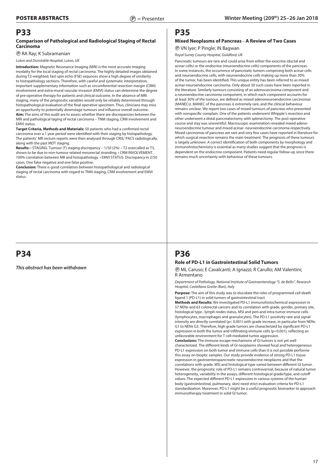**P34**

*This abstract has been withdrawn*

### **Comparison of Pathological and Radiological Staging of Rectal Carcinoma**

P RA Ray; K Subramanian

*Luton and Dunstable Hospital, Luton, UK*

**Introduction:** Magnetic Resonance Imaging (MRI) is the most accurate imaging modality for the local staging of rectal carcinoma. The highly detailed images obtained during T2-weighted, fast-spin echo (FSE) sequnces show a high degree of similarity to histopathology sections. Therefore, with careful and systematic interpretation, important supplementary information such as circumferential resection margin (CRM) involvement and extra-mural vascular invasion (EMVI) status can determine the degree of pre-operative therapy for patients and clinical outcome. In the absence of MRI staging, many of the prognostic variables would only be reliably determined through histopathological evaluation of the final operative specimen. Thus, clinicians may miss an opportunity to potentially downstage tumours and influence overall outcome. **Aim:** The aims of this audit are to assess whether there are discrepancies between the MRI and pathological taging of rectal carcinoma – TNM staging, CRM involvement and EMVI status.

**Target Criteria, Methods and Materials:** 50 patients who had a confirmed rectal carcinoma over a 1 year period were identified with their staging by histopathology. The patients' MR rectum reports were then analysed through CRIS/ PACS radiologically, along with the past MDT staging.

**Results:** • STAGING. Tumour (T) staging discrepancy – 1/50 (2%) – T2 overcalled as T3, shown to be due to non-tumour related mesorectal stranding. • CRM INVOLVEMENT. 100% correlation between MR and histopathology. • EMVI STATUS. Discrepancy in 2/50 cases. One false negative and one false positive.

**Conclusion:** There is good correlation between histopathological and radiological staging of rectal carcinoma with regard to TNM staging, CRM involvement and EMVI status.

# **P35**

### **Mixed Neoplasms of Pancreas – A Review of Two Cases**

P VN Iyer; P Pingle; IN Bagwan

*Royal Surrey County Hospital, Guildford, UK*

Pancreatic tumours are rare and could arise from either the exocrine (ductal and acinar cells) or the endocrine (neuroendocrine cells) components of the pancreas. In some instances, the occurrence of pancreatic tumors comprising both acinar cells and neuroendocrine cells, with neuroendocrine cells making up more than 30% of the tumor, has been identified. This unique entity has been referred to as mixed acinar-neuroendocrine carcinoma. Only about 30 such cases have been reported in the literature. Similarly tumours consisting of an adenocarcinoma component and a neuroendocrine carcinoma component, in which each component accounts for at least 30% of the tumour, are defined as mixed adenoneuroendocrine carcinomas (MANECs). MANEC of the pancreas is extremely rare, and the clinical behaviour remains unclear. We report two cases of mixed tumours of pancreas who presented with nonspecific complain. One of the patients underwent Whipple's resection and other underwent a distal pancreatectomy with splenectomy. The post-operative course and stay was uneventful. Macroscopic examination revealed mixed adenoneuroendocrine tumour and mixed acinar- neuroendocrine carcinoma respectively. Mixed carcinomas of pancreas are rare and very few cases have reported in literature for which surgical resection remains the main treatment. The prognosis of these tumours is largely unknown. A correct identification of both components by morphology and immunohistochemistry is essential as many studies suggest that the prognosis is dependent on the endocrine component. Patients need regular follow-up since there remains much uncertainty with behaviour of these tumours.

# **P36**

### **Role of PD-L1 in Gastrointestinal Solid Tumors**

P ML Caruso; E Cavalcanti; A Ignazzi; R Carullo; AM Valentini; R Armentano

*Department of Pathology, National Institute of Gastroenterology "S. de Bellis", Research Hospital, Castellana Grotte (Bari), Italy*

**Purpose:** The aim of this study was to elucidate the roles of programmed cell death ligand 1 (PD-L1) in solid tumors of gastrointestinal tract.

**Methods and Results:** We investigated PD-L1 immunohistochemical expression in 57 NENs and 63 colorectal cancers and its correlation with grade, gender, primary site, histological type , lymph nodes status, MSI and peri-and intra-tumor immune cells (lymphocytes, macrophages and granulocytes). The PD-L1 positivity rate and signal intensity are directly correlated (p< 0.001) with grade increase, in particular from NENs G1 to NENs G3. Therefore, high grade tumors are characterized by significant PD-L1 expression in both the tumor and infiltrating immune cells (p<0.001), reflecting an unfavorable environment for T cell-mediated tumor aggression.

**Conclusions:** The immune escape mechanisms of GI tumors is not yet well characterized. The different kinds of GI neoplasms showed focal and heterogeneous PD-L1 expression on both tumor and immune cells than it is not possible performe this assay on bioptic samples. Our study provide evidence of strong PD-L1 tissue expression in gastroenteropancreatic neuroendocrine neoplasms and that the correlations with grade, MSI and histological type varied between different GI tumor. However, the prognostic role of PD-L1 remains controversial, because of natural tumor heterogeneity, variability in the assays, different histological grade/type, and cutoff values. The expected different PD-L1 expression in various systems of the human body (gastrointestinal, pulmonary, skin) need strict evaluation criteria for PD-L1 standardization. Moreover, PD-L1 might be a useful prognostic biomarker to approach immunotherapy treatment in solid GI tumor.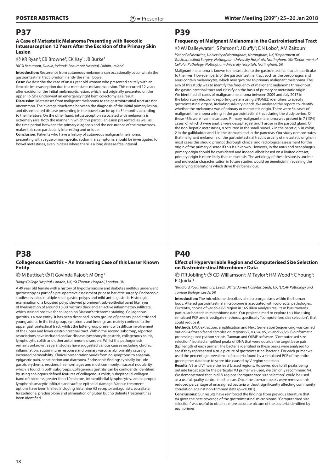### **A Case of Metastatic Melanoma Presenting with Ileocolic Intussusception 12 Years After the Excision of the Primary Skin Lesion**

 $\textcircled{P}$  KR Ryan'; EB Browne<sup>2</sup>; EK Kay'; JB Burke<sup>2</sup>

<sup>1</sup> RCSI Beaumont, Dublin, Ireland; <sup>2</sup> Beaumont Hospital, Dublin, Ireland

**Introduction:** Recurrence from cutaneous melanoma can occasionally occur within the gastrointestinal tract; predominantly the small bowel.

**Case:** We describe the case of an 83 year old woman who presented acutely with an ileocolic intussusception due to a metastatic melanoma lesion. This occurred 12 years after excision of the initial melanocytic lesion, which had originally presented on the upper lip. She underwent an emergency right hemicolectomy as a result.

**Discussion:** Metastases from malignant melanoma to the gastrointestinal tract are not uncommon. The average timeframe between the diagnosis of the initial primary lesion, and disseminated disease presenting in the bowel, can be up to 54 months according to the literature. On the other hand, intussusception associated with melanoma is extremely rare. Both the manner in which this particular lesion presented, as well as the time period between the primary diagnosis and the occurrence of the metastases, makes this case particularly interesting and unique.

**Conclusion:** Patients who have a history of cutaneous malignant melanoma, presenting with vague or non-specific abdominal symptoms, should be investigated for bowel metastases, even in cases where there is a long disease-free interval.

# **P39**

### **Frequency of Malignant Melanoma in the Gastrointestinal Tract**

**(B)** WJ Dalleywater<sup>1</sup>; S Parsons<sup>2</sup>; J Duffy<sup>2</sup>; DN Lobo<sup>1</sup>; AM Zaitoun<sup>3</sup> <sup>1</sup> School of Medicine, University of Nottingham, Nottingham, UK;<sup>2</sup> Department of *Gastrointestinal Surgery, Nottingham University Hospitals, Nottingham, UK; 3 Department of Cellular Pathology, Nottingham University Hospitals, Nottingham, UK*

Malignant melanoma is known to metastasise to the gastrointestinal tract, in particular to the liver. However, parts of the gastrointestinal tract such as the oesophagus and anus contain melanocytes, which may give rise to primary malignant melanoma. The aim of this study was to identify the frequency of malignant melanoma throughout the gastrointestinal tract and classify on the basis of primary or metastatic origin. We identified all cases of malignant melanoma between 2009 and July 2017 in the laboratory electronic reporting system using SNOMED identifiers to specify gastrointestinal organs, including salivary glands. We analysed the reports to identify whether the melanoma was of primary or metastatic origin. There were 54 cases of malignant melanoma arising in the gastrointestinal tract during the study period. Of these 43% were liver metastases. Primary malignant melanoma was present in 7 (13%) cases, of which 3 were anal, 3 were oesophageal and 1 arose in the parotid gland. Of the non-hepatic metastases, 8 occurred in the small bowel, 7 in the parotid, 5 in colon, 2 in the gallbladder and 1 in the stomach and in the pancreas. Our study demonstrates that malignant melanoma of the gastrointestinal tract is usually of metastatic origin. In most cases this should prompt thorough clinical and radiological assessment for the origin of the primary disease if this is unknown. However, in the anus and oesophagus, primary origin should be considered and indeed, albeit based on a limited dataset, primary origin is more likely than metastasis. The aetiology of these lesions is unclear and molecular characterisation in future studies would be beneficial in revealing the underlying aberrations which drive their behaviour.

# **P40**

### **Effect of Hypervariable Region and Computerised Size Selection on Gastrointestinal Microbiome Data**

**(B)** ITR Jobling<sup>1</sup>; **(B)** CD Williamson<sup>2</sup>; M Taylor<sup>3</sup>; HM Wood<sup>3</sup>; C Young<sup>3</sup>; P Ouirke<sup>3</sup>

<sup>1</sup>Bradford Royal Infirmary, Leeds, UK; <sup>2</sup>St James Hospital, Leeds, UK; <sup>3</sup>LICAP Pathology and *Tumour Biology, Leeds, UK*

**Introduction:** The microbiome describes all micro-organisms within the human body. Altered gastrointestinal microbiome is associated with colorectal pathologies. Currently, choice of variable (V) region in 16S rRNA analysis results in bias towards particular bacteria in microbiome data. Our project aimed to explore this bias using simulated PCR and investigate methods, specifically "computerised size selection", that could reduce it.

**Methods:** DNA extraction, amplification and Next Generation Sequencing was carried out on 64 frozen faecal samples on regions v2, v3, v4, v5, v6 and v7/v8. Bioinformatic processing used python scripts, Taxman and QIIME software. "Computerised size selection" isolated amplified peaks of DNA that were outside the target base pair (bp) length of each primer. The bacteria identified in these peaks were analysed to see if they represented a true picture of gastrointestinal bacteria. For each primer we used the percentage prevalence of bacteria found by a simulated PCR of the entire greengenes database to score bias caused by V region selection.

**Results:** V3 and V4 were the least biased regions. However, due to all peaks being outside target size for the particular V3 primer we used, we can only recommend V4. We demonstrated that in all V regions "computerised size selection" could be used as a useful quality control mechanism. Once the aberrant peaks were removed this reduced percentage of unassigned bacteria without significantly affecting community correlation against non-trimmed data (p=<0.001).

**Conclusions:** Our results have reinforced the findings from previous literature that V4 gives the best coverage of the gastrointestinal microbiome. "Computerised size selection" was useful to obtain a more accurate picture of the bacteria identified by each primer.

# **P38**

### **Collagenous Gastritis – An Interesting Case of this Lesser Known Entity**

### **℗ M Buttice<sup>1</sup>; ℗ R Govinda Rajoo<del>'</del>; M Ong'**

<sup>1</sup> Kings College Hospital, London, UK; <sup>2</sup> St Thomas Hospital, London, UK

A 49 year old female with a history of hypothyroidism and diabetes mellitus underwent gastroscopy as part of a pre-operative assessment prior to bariatric surgery. Endoscopic studies revealed multiple small gastric polyps and mild antral gastritis. Histologic examination of a biopsied polyp showed prominent sub-epithelial band like layer of hyalinisation of around 10-30 microns thick and an active inflammatory infiltrate, which stained positive for collagen on Masson's trichrome staining. Collagenous gastritis is a rare entity. It has been described in two groups of patients, paediatric and young adults. In the first group, symptoms and findings are mainly confined to the upper gastrointestinal tract, whilst the latter group present with diffuse involvement of the upper and lower gastrointestinal tract. Within the second subgroup, reported associations have included coeliac disease, lymphocytic gastritis, collagenous colitis, lymphocytic colitis and other autoimmune disorders. Whilst the pathogenesis remains unknown, several studies have suggested various causes including chronic inflammation, autoimmune response and primary vascular abnormality causing increased permeability. Clinical presentation varies from no symptoms to anaemia, epigastric pain, constipation and diarrhoea. Endoscopic findings typically include gastric erythema, erosions, haemorrhages and most commonly, mucosal nodularity which is found in both subgroups. Collagenous gastritis can be confidently identified by using analogous defined features of collagenous colitis; subepithelial collagen band of thickness greater than 10 microns, intraepithelial lymphocytes, lamina propria lymphoplasmacytic infiltrate and surface epithelial damage. Various treatment options have been trialled including histamine H2 receptor antagonists, sucralfate, furazolidone, prednisolone and elimination of gluten but no definite treatment has been identified.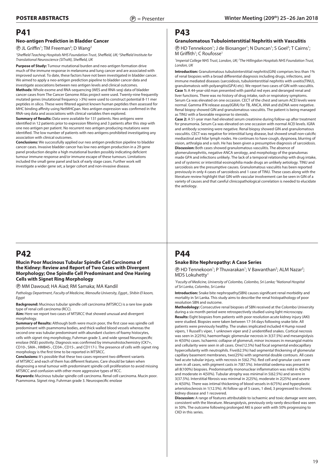#### **Neo-antigen Prediction in Bladder Cancer**

**(P)** JL Griffin<sup>1</sup>; TM Freeman<sup>2</sup>; D Wang<sup>2</sup>

*1 Sheffield Teaching Hospitals NHS Foundation Trust, Sheffield, UK; 2 Sheffield Institute for Translational Neuroscience (SITraN), Sheffield, UK*

**Purpose of Study:** Tumour mutational burden and neo-antigen formation drive much of the immune response in melanoma and lung cancer and are associated with improved survival. To date, these factors have not been investigated in bladder cancer. We aimed to apply a neo-antigen prediction pipeline to bladder cancer data and investigate associations between neo antigen levels and clinical outcomes.

**Methods:** Whole exome and RNA-sequencing (WES and RNA-seq) data of bladder cancer cases from The Cancer Genome Atlas project were used. Twenty-nine frequently mutated genes (mutational frequency >3%) were used to construct potential 8-11 mer peptides in silico. These were filtered against known human peptides then assessed for MHC binding affinity using NetMHCpan. Neo antigen expression was confirmed in the RNA-seq data and associations with clinical variables then explored.

**Summary of Results:** Data were available for 131 patients. Neo antigens were identified in 12 patients prior to expression filtering and 3 patients after this step with one neo antigen per patient. No recurrent neo antigen producing mutations were identified. The low number of patients with neo antigens prohibited investigating any association with clinical outcomes.

**Conclusions:** We successfully applied our neo antigen prediction pipeline to bladder cancer cases. Invasive bladder cancer has low neo antigen production in a 29 gene panel production despite a high mutational burden possibly indicating deficient tumour immune response and/or immune escape of these tumours. Limitations included the small gene panel and lack of early stage cases. Further work will investigate a wider gene set, a larger cohort and non-invasive disease.

# **P42**

### **Mucin Poor Mucinous Tubular Spindle Cell Carcinoma of the Kidney: Review and Report of Two Cases with Divergent Morphology; One Spindle Cell Predominant and One Having Cells with Signet Ring Morphology**

P MM Dawoud; HA Aiad; RM Samaka; MA Kandil

*Pathology Department, Faculty of Medicine, Menoufia University, Egypt., Shibin El koom, Egypt*

**Background:** Mucinous tubular spindle cell carcinoma (MTSRCC) is a rare low grade type of renal cell carcinoma (RCC).

**Aim:** Here we report two cases of MTSRCC that showed unusual and divergent morphology.

**Summary of Results:** Although both were mucin poor, the first case was spindle cell predominant with psammoma bodies, and thick walled blood vessels whereas the second one was tubular predominant with abundant clusters of foamy histocytes, cells with signet ring morphology, Fuhrman grade 3, and wide spread Neurospecific enolase (NSE) positivity. Diagnosis was confirmed by immunohistochemistry (CK7+, CD10-, SMA-, HMB45-, CD34-, CD15-, and CD117-). The presence of cells with signet ring morphology is the first time to be reported in MTSRCC.

**Conclusions:** It's possible that these two cases represent two different variants of MTSRCC and each of them has different features. Care should be taken when diagnosing a renal tumour with predominant spindle cell proliferation to avoid missing MTSRCC and confusion with other more aggressive types of RCC.

**Keywords:** Mucinous tubular spindle cell carcinoma. Renal cell carcinoma. Mucin poor. Psammoma. Signet ring. Fuhrman grade 3. Neurospecific enolase

# **P43**

### **Granulomatous Tubulointerstitial Nephritis with Vasculitis**

**(e)** HD Tennekoon<sup>1</sup>; J de Biosanger<sup>1</sup>; N Duncan<sup>1</sup>; S Goel<sup>2</sup>; T Cairns<sup>1</sup>; M Griffith<sup>1</sup>; C Roufosse<sup>1</sup>

<sup>1</sup> Imperial College NHS Trust, London, UK; <sup>2</sup> The Hillingdon Hospitals NHS Foundation Trust, *London, UK*

**Introduction:** Granulomatous tubulointerstitial nephritis(GIN) comprises less than 1% of renal biopsies with a broad differential diagnosis including drugs, infections, and immune mediated diseases (sarcoidosis, tubulointerstitial nephritis with uveitis(TINU), granulomatosis with polyangitis(GPA) etc). We report two cases of GIN with vasculitis. **Case 1:** A 44-year-old man presented with painful red eyes and deranged renal and liver functions. There was no history of drug intake, rash or respiratory symptoms. Serum Ca was elevated on one occasion. CECT of the chest and serum ACEI levels were normal. Gamma IFN release assay(IGRA) for TB, ANCA, ANA and dsDNA were negative. Renal biopsy showed GIN and granulomatous vasculitis. The patient is being managed as TINU with a favorable response to steroids.

**Case 2:** A 51-year man had elevated serum creatinine during follow-up after treatment for pneumonia. Serum Ca was elevated on one occasion with normal ACEI levels. IGRA and antibody screening were negative. Renal biopsy showed GIN and granulomatous vasculitis. CECT was negative for interstitial lung disease, but showed small non-calcific mediastinal and hilar lymph nodes. He continues to have cough, dyspnoea, blurring of vision, arthralgia and a rash. He has been given a presumptive diagnosis of sarcoidosis. **Discussion:** Both cases showed granulomatous vasculitis. The absence of

glomerulonephritis, negative ANCA serology, and morphology of the granulomas made GPA and infections unlikely. The lack of a temporal relationship with drug intake, and of systemic or interstitial eosinophilia made drugs an unlikely aetiology. TINU and sarcoidosis are the presumptive causes. Granulomatous vasculitis has been reported previously in only 4 cases of sarcoidosis and 1 case of TINU. These cases along with the literature review highlight that GIN with vascular involvement can be seen in GIN of a variety of causes and that careful clinicopathological correlation is needed to elucidate the aetiology.

# **P44**

### **Snake Bite Nephropathy: A Case Series**

**(B)** HD Tennekoon<sup>1</sup>; P Thuvarakan<sup>1</sup>; V Bawanthan<sup>2</sup>; ALM Nazar<sup>2</sup>; MDS Lokuhetty<sup>1</sup>

<sup>1</sup> Faculty of Medicine, University of Colombo, Colombo, Sri Lanka; <sup>2</sup> National Hospital *of Sri Lanka, Colombo, Sri Lanka*

**Introduction:** Snake bite nephropathy(SBN) causes significant renal morbidity and mortality in Sri Lanka. This study aims to describe the renal histopathology of poor resolution SBN and outcome.

**Methodology:** Consecutive renal biopsies of SBN received at the Colombo University during a six month period were retrospectively studied using light microscopy. **Results:** Eight biopsies from patients with poor resolution acute kidney injury (AKI) were studied. Biopsies were taken between 17-34 days following snake bite. All patients were previously healthy. The snakes implicated included 4 Hump nosed vipers, 1 Russell's viper, 1 unknown viper and 2 unidentified snakes. Cortical necrosis was seen in 2(25%), haemorrhagic glomerular necrosis in 3(37.5%) and mesangiolysis in 4(50%) cases. Ischaemic collapse of glomeruli, minor increases in mesangial matrix and cellularity were seen in all cases. One(12.5%) had focal segmental endocapillary hypercellularity with neutrophils. Five(62.5%) had segmental thickening of glomerular capillary basement membranes, two(25%) with segmental double contours. All cases had acute tubular injury, with necrosis in 5(62.7%). Red cell and granular casts were seen in all cases, with pigment casts in 7(87.5%). Interstitial oedema was present in all 8(100%) biopsies. Predominantly mononuclear inflammation was mild in 4(50%) and moderate in 4(50%). Tubular atrophy was minimal in 5(62.5%) and severe in 3(37.5%). Interstitial fibrosis was minimal in 2(25%), moderate in 2(25%) and severe in 4(50%). There was intimal thickening of blood vessels in 6(75%) and hyperplastic arteriolosclerosis in 1(12.5%). At follow up of 5 cases, 1 died, 3 progressed to chronic kidney disease and 1 recovered.

**Discussion:** A range of features attributable to ischaemic and toxic damage were seen, consistent with the literature. Mesangiolysis, previously only rarely described was seen in 50%. The outcome following prolonged AKI is poor with with 50% progressing to CKD in this series.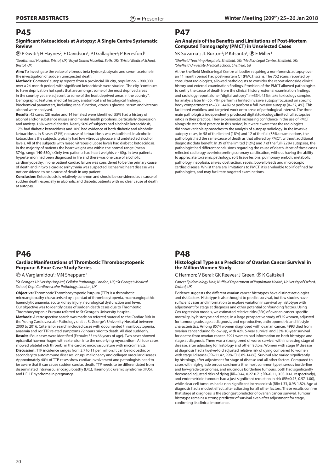### **Significant Ketoacidosis at Autopsy: A Single Centre Systematic Review**

**(B)** P Gwiti<sup>1</sup>; H Haynes<sup>2</sup>; F Davidson<sup>1</sup>; PJ Gallagher<sup>3</sup>; P Beresford<sup>1</sup> <sup>1</sup> Southmead Hospital, Bristol, UK; <sup>2</sup> Royal United Hospital, Bath, UK; <sup>3</sup> Bristol Medical School, *Bristol, UK*

**Aim:** To investigate the value of vitreous beta hydroxybutyrate and serum acetone in the investigation of sudden unexpected death.

**Methods:** Coroners' autopsy reports from a provincial UK city, population ~ 900,000, over a 24-month period, with significant ketoacidosis were studied. The city "continues to have deprivation hot spots that are amongst some of the most deprived areas in the country yet are adjacent to some of the least deprived areas in the country". Demographic features, medical history, anatomical and histological findings, biochemical parameters, including renal function, vitreous glucose, serum and vitreous alcohol were analysed.

**Results:** 42 cases (28 males and 14 females) were identified, 55% had a history of alcohol and/or substance misuse and mental health problems, particularly depression and anxiety. 16% were diabetics. Nearly 50% of subjects had alcoholic ketoacidosis, 17% had diabetic ketoacidosis and 10% had evidence of both diabetic and alcoholic ketoacidosis. In 8 cases (21%) no cause of ketoacidosis was established. In alcoholic ketoacidosis the subjects typically had low vitreous glucose and undetected alcohol levels. All of the subjects with raised vitreous glucose levels had diabetic ketoacidosis. In the majority of patients the heart weight was within the normal range (mean 374g, range 140-550g). Only two patients had heart weights > 460g. In two patients hypertension had been diagnosed in life and there was one case of alcoholic cardiomyopathy. In one patient cardiac failure was considered to be the primary cause of death and in two a cardiac arrhythmia was suspected. Ischaemic heart disease was not considered to be a cause of death in any patient.

**Conclusion:** Ketoacidosis is relatively common and should be considered as a cause of sudden death, especially in alcoholic and diabetic patients with no clear cause of death at autopsy.

# **P47**

### **An Analysis of the Benefits and Limitations of Post-Mortem Computed Tomography (PMCT) in Unselected Cases**

SK Suvarna<sup>1</sup>; JL Burton<sup>2</sup>; P Kitsanta<sup>1</sup>; **@ E Miller**<sup>3</sup>

<sup>1</sup> Sheffield Teaching Hospitals, Sheffield, UK; <sup>2</sup> Medico-Legal Centre, Sheffield, UK;<br><sup>3</sup> Sheffield University Medical School, Sheffield, UK *Sheffield University Medical School, Sheffield, UK*

At the Sheffield Medico-legal Centre all bodies requiring a non-forensic autopsy over an 11 month period had post-mortem CT (PMCT) scans. The 752 scans, reported by consultant radiologists, allowed pathologists to consider the report alongside clinical history and external examination findings. Provision of the PMCT allowed pathologists to certify the cause of death from the clinical history, external examination findings and radiology report alone ("digital autopsy", n=334, 45%); take toxicology samples for analysis later (n=55, 7%); perform a limited invasive autopsy focussed on specific body compartments (n=331, 44%) or perform a full invasive autopsy (n=32, 4%). This facilitated workflow and targeted work onto areas of pathological interest. The three main pathologists independently produced digital:toxicology:limited:full autopsies ratios in their practice. They experienced increasing confidence in the use of PMCT alongside standard practice in this period, but were aware that the radiologists did show variable approaches to the analysis of autopsy radiology. In the invasive autopsy cases, in 58 of the limited (18%) and 12 of the full (38%) examinations, the pathologist had the same cause of death as that offered by PMCT, without additional diagnostic data benefit. In 39 of the limited (12%) and 7 of the full (22%) autopsies, the pathologist had different conclusions regarding the cause of death. Most of these cases reflected radiology overinterpreting coronary calcification, without having the ability to appreciate toxaemic pathology, soft tissue lesions, pulmonary emboli, metabolic pathology, neoplasia, airway obstruction, sepsis, bowel bleeds and microscopic cardiac disease. Whilst there are limitations to PMCT, it is a valuable tool if defined by pathologists, and may facilitate targeted examinations.

# **P48**

### **Histological Type as a Predictor of Ovarian Cancer Survival in the Million Women Study**

### C Hermon; V Beral; GK Reeves; J Green; P K Gaitskell

*Cancer Epidemiology Unit, Nuffield Department of Population Health, University of Oxford, Oxford, UK*

Evidence suggests the different ovarian cancer histotypes have distinct aetiologies and risk factors. Histotype is also thought to predict survival, but few studies have sufficient cases and information to explore variation in survival by histotype with adjustment for stage at diagnosis and other potential confounding factors. Using Cox regression models, we estimated relative risks (RRs) of ovarian cancer-specific mortality, by histotype and stage, in a large prospective study of UK women, adjusted for tumour grade, age at diagnosis, and reproductive, anthropometric and lifestyle characteristics. Among 8574 women diagnosed with ovarian cancer, 4993 died from ovarian cancer during follow-up, with 42% 5-year survival and 33% 10-year survival for deaths from ovarian cancer. 3991 women had information on both histotype and stage at diagnosis. There was a strong trend of worse survival with increasing stage of disease, after adjusting for histology and other factors. Women with stage IV disease at diagnosis had a twelve-fold adjusted relative risk of dying compared to women with stage I disease (RR=11.42, 99% CI: 8.89-14.68). Survival also varied significantly by histology, after adjustment for stage of disease and all other factors. Compared to cases with high-grade serous carcinoma (the most common type), serous borderline and low-grade carcinomas, and mucinous borderline tumours, both had significantly decreased adjusted risks of dying (RR=0.44, 0.27-0.71; RR=0.11, 0.03-0.41, respectively), and endometrioid tumours had a just-significant reduction in risk (RR=0.75, 0.57-1.00), while clear cell tumours had a non-significant increased risk (RR=1.33, 0.98-1.82). Age at diagnosis had a modest effect, after adjusting for all other factors. These results confirm that stage at diagnosis is the strongest predictor of ovarian cancer survival. Tumour histotype remains a strong predictor of survival even after adjustment for stage, confirming its clinical importance.

# **P46**

### **Cardiac Manifestations of Thrombotic Thrombocytopenic Purpura: A Four Case Study Series**

### $\textcircled{P}$  A Vargiamidou<sup>1</sup>; MN Sheppard<sup>2</sup>

<sup>1</sup> St George's University Hospital, Cellular Pathology, London, UK; <sup>2</sup> St George's Medical *School, Dept Cardiovascular Pathology, London, UK*

**Objective:** Thrombotic Thrombocytopenic Purpura (TTP) is a thrombotic microangiopathy characterised by a pentad of thrombocytopenia, macroangiopathic haemolytic anaemia, acute kidney injury, neurological dysfunction and fever. Our objective was to identify cases of sudden death cases due to Thrombotic Thrombocytopenic Purpura referred to St George's University Hospital.

**Methods:** A retrospective search was made on referred material to the Cardiac Risk in the Young Cardiovascular Pathology unit at St George's University Hospital between 2000 to 2016. Criteria for search included cases with documented thrombocytopenia, anaemia and /or TTP related symptoms 72 hours prior to death. All died suddenly. **Results:** Four cases were identified (Female; 33 to 66 years of age). Two cases showed epicardial haemorrhages with extension into the underlying myocardium. All four cases showed platelet rich thrombi in the cardiac microvasculature with microinfarcts. **Discussion:** TTP incidence ranges from 3.7 to 11 per million. It can be idiopathic or secondary to autoimmune diseases, drugs, malignancy and collagen vascular diseases. Approximately 40% of TTP cases show cardiac involvement and pathologists need to be aware that it can cause sudden cardiac death. TTP needs to be differentiated from disseminated intravascular coagulopathy (DIC), Haemolytic uremic syndrome (HUS), and HELLP syndrome in pregnancy.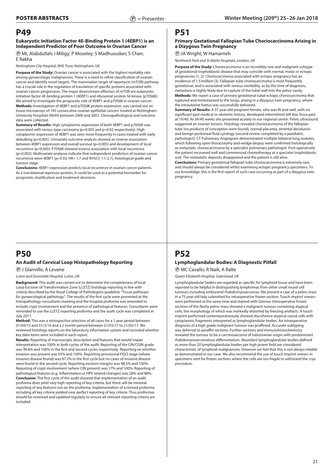### **Eukaryotic Initiation Factor 4E-Binding Protein 1 (4EBP1) is an Independent Predictor of Poor Outcome in Ovarian Cancer**

P ML Alabdullah; I Miligy; P Moseley; S Madhusudan; S Chan; E Rakha

*Nottingham City Hospital, NHS Trust, Nottingham, UK*

**Purpose of the Study:** Ovarian cancer is associated with the highest mortality rate among gynaecologic malignancies. There is a need to refine classification of ovarian cancer and identify novel targets. The mammalian target of rapamycin (mTOR) pathway has a crucial role in the regulation of translation of specific proteins associated with ovarian cancer progression. The major downstream effectors of mTOR are eukaryotic initiation factor 4E-binding protein 1 (4EBP1) and ribosomal protein S6 kinase (p70S6K). We aimed to investigate the prognostic role of 4EBP1 and p70S6K in ovarian cancer. **Methods:** Investigation of 4EBP1 and p70S6K protein expression, was carried out on tissue microarrays of 195 consecutive ovarian epithelial cancers treated at Nottingham University Hospitals (NUH) between 2000 and 2007. Clinicopathological and outcome data were collected.

**Summary of Results:** High cytoplasmic expression of both 4EBP1 and p70S6K was associated with serous type carcinoma (p=0.005 and p=0.02 respectively). High cytoplasmic expression of 4EBP1 was seen more frequently in cases treated with early debulking (p=0.005). Univariate outcome analysis showed an inverse association between 4EBP1 expression and overall survival (p=0.005) and development of local recurrence (p=0.005). P70S6K showed inverse association with local recurrence (p=0.002). Multivariate analyses indicate that independent predictors of ovarian cancer recurrence were 4EBP1 (p=0.03, HR= 1.7 and 95%CI: 1.1-2.7), histological grade and tumour stage.

**Conclusions:** 4EBP1 expression predicts local recurrence in ovarian cancer patients. As a translational repressor protein, it could be used as a potential biomarker for prognostic stratification and treatment decisions.

### **P50 An Audit of Cervical Loop Histopathology Reporting**

P J Glanville; A Levene

*Luton and Dunstable Hospital, Luton, UK*

**Background:** This audit was carried out to determine the completeness of local Loop Excision of Transformation Zone (LLETZ) histology reporting in line with criteria described by the Royal College of Pathologists guideline "Tissue pathways for gynaecological pathology". The results of the first cycle were presented at the histopathology consultants meeting and the hospital proforma was amended to include crypt involvement and the presence of pathological features. Consultants were reminded to use the LLETZ reporting proforma and the audit cycle was completed in July 2017.

**Method:** This was a retrospective selection of all cases for a 1 year period between 01/04/15 and 31/3/16 and a 2 month period between 21/03/17 to 21/05/17. We reviewed histology reports on the laboratory information system and recorded whether key data items were included in each report.

**Results:** Reporting of macroscopic description and features that would impair interpretation was 100% in both cycles of the audit. Reporting of the CIN/CGIN grade was 99.6% and 100% in the first and second cycles respectively. Reporting on whether invasion was present was 93% and 100%. Reporting provisional FIGO stage (where invasive disease found) was 87.5% in the first cycle but no cases of invasive disease were found in the second cycle. Reporting excision margins was 98.5% and 100%. Reporting of crypt involvement (where CIN present) was 17% and 100%. Reporting of pathological features (e.g. inflammation or HPV related changes) was 28% and 88%. **Conclusion:** The first cycle of the audit showed that implementation of an audit proforma does yield very high reporting of key criteria, but there will be minimal reporting of any features not on the proforma. Implementation of a revised proforma including all key criteria yielded near perfect reporting of key criteria. Thus proformas should be reviewed and updated regularly to ensure all relevant reporting criteria are included.

# **P51**

### **Primary Gestational Fallopian Tube Choriocarcinoma Arising in a Dizygous Twin Pregnancy**

P JA Wright; W Hamarneh

*Northwick Park and St Marks Hospitals, London, UK*

**Purpose of the Study:** Choriocarcinoma is an incredibly rare and malignant subtype of gestational trophoblastic disease that may coincide with normal, molar or ectopic pregnancies (1, 2). Choriocarcinoma associated with ectopic pregnancy has an incidence of 1.5/million (3). Fallopian tube choriocarcinoma is most frequently gestational, and is associated with serious morbidity, as by the time of diagnosis, metastasis is highly likely due to rupture of the tubal wall into the pelvic cavity. **Methods:** We report a case of primary gestational tubal ectopic choriocarcinoma that ruptured and metastasised to the lungs, arising in a dizygous twin pregnancy, where the intrauterine foetus was successfully delivered.

**Summary of Results:** A 37 year-old pregnant female, who was fit and well, with no significant past medical or obstetric history, developed intermittent left iliac fossa pain at 19/40. At 34/40 weeks she presented acutely to our regional centre. Pelvic ultrasound suggested an ovarian torsion. Histology revealed choriocarcinoma of the fallopian tube (no products of conception were found), normal placenta, omental deciduosis and benign peritoneal fluid cytology (second review completed by a paediatric pathologist). CT Pulmonary Angiogram demonstrated multiple bilateral lung nodules, which following open thoracotomy and wedge-biopsy were confirmed histologically as metastatic choriocarcinoma by a specialist pulmonary pathologist. Post-operatively the patient recovered well and commenced chemotherapy at a specialist trophoblastic unit. The metastatic deposits disappeared and the patient is still alive.

**Conclusions:** Primary gestational fallopian tube choriocarcinoma is extremely rare, and should always be considered whilst examining ectopic pregnancy specimens. To our knowledge, this is the first report of such case occurring as part of a dizygous twin pregnancy.

# **P52**

### **Lymphoglandular Bodies: A Diagnostic Pitfall**

P MC Cavallo; R Naik; A Ralte

*Queen Elizabeth Hospital, Gateshead, UK*

Lymphoglandular bodies are regarded as specific for lymphoid tissue and have been reported to be helpful in distinguishing lymphomas from other small round cell tumours including embryonal rhabdomyosarcomas. We present a case of a pelvic mass in a 75 year old lady submitted for intraoperative frozen section. Touch imprint smears were performed at the same time and stained with Giemsa. Intraoperative frozen sections of the fleshy pelvic mass showed a malignant tumour containing atypical cells, the morphology of which was markedly distorted by freezing artefacts. A touch imprint performed contemporaneously showed discohesive atypical round cells with cytoplasmic fragments interpreted as lymphoglandular bodies. An intraoperative diagnosis of a high grade malignant tumour was proffered. Accurate subtyping was deferred to paraffin sections. Further sections and immunohistochemistry revealed the tumour to be a carcinosarcoma of tuboovarian origin with predominant rhabdomyosarcomatous differentiation. Abundant lymphoglandular bodies defined as more than 20 lymphoglandular bodies per high power field are considered characteristic of lymphoid malignancies. However we feel that this is not always reliable as demonstrated in our case. We also recommend the use of touch imprint smears in specimens sent for frozen sections where the cells are too fragile to withstand the cryo procedure.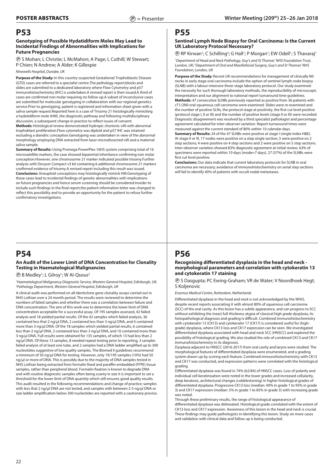### **Genotyping of Possible Hydatidiform Moles May Lead to Incidental Findings of Abnormalities with Implications for Future Pregnancies**

P S Mohan; L Christie; L McMahon; A Page; L Cuthill; W Stewart; P Chien; N Andrew; A Alder; K Gillespie

*Ninewells Hospital, Dundee, UK*

**Purpose of the Study:** In this country suspected Gestational Trophoblastic Disease (GTD) cases are referred to a specialist centre.The pathology report,blocks and slides are submitted to a dedicated laboratory where Flow Cytometry and p57 immunohistochemistry (IHC) is undertaken.A revised report is then issued.A third of cases are confirmed non molar requiring no follow up.A subset of inconclusive cases are submitted for molecular genotyping in collaboration with our regional genetics service.Prior to genotyping, patient is registered and information sheet given with a saliva sample request.Reported here is a case of Trisomy 21 histologically mimicking a hydatidiform mole (HM) , the diagnostic pathway and following multidisciplinary discussion, a subsequent change in practice to reflect issues of consent. **Methods:** Histological review demonstrated hydropic chorionic villi with abnormal trophoblast proliferation.Flow cytometry was diploid and p57 IHC was retained excluding a diandric conception.Genotyping was undertaken in view of the abnormal morphology employing DNA extracted from laser-microdissected villi and a maternal saliva sample.

**Summary of Results:** Using Promega PowerPlex 16HS system comprising total of 16 microsatellite markers, the case showed biparental inheritance confirming non molar conception.However, one chromosome 21 marker indicated possible trisomy.Further analysis with Devyser Compact v3 kit containing 6 additional chromosome 21 markers confirmed evidence of trisomy.A revised report including this result was issued. **Conclusions:** Aneuploid conceptions may histologically mimick HM.Genotyping of these cases lead to incidental findings of genetic abnormalities with implications on future pregnancies and hence serum screening should be considered.Inorder to include such findings in the final report,the patient information letter was changed to reflect this possibility and to provide an opportunity for the patient to refuse further confirmatory investigations.

# **P54**

### **An Audit of the Lower Limit of DNA Concentration for Clonality Testing in Haematological Malignancies**

*<b>@* B Medley<sup>1</sup>; L Gilroy<sup>1</sup>; W Al-Qsous<sup>2</sup>

*1 Haematological Malignancy Diagnostic Service, Western General Hospital, Edinburgh, UK; 2 Pathology Department, Western General Hospital, Edinburgh, UK*

A clinical audit was performed on all Identiclone gene clonality assays carried out in NHS Lothian over a 24 month period. The results were reviewed to determine the numbers of failed samples and whether there was a correlation between failure and DNA concentration. The aim of this work was to determine the lower limit of DNA concentration acceptable for a successful assay. Of 195 samples assessed, 42 failed analysis and 18 yielded partial results. Of the 42 samples which failed analysis, 36 contained less that 2 ng/µl DNA, 2 contained less than 3 ng/µl DNA, and 4 contained more than 3 ng/µl DNA. Of the 18 samples which yielded partial results, 6 contained less than 2 ng/µl DNA, 2 contained less than 3 ng/µl DNA, and 10 contained more than 3 ng/µl DNA. Full results were obtained for 135 samples, of which 13 had less than 2 ng/µl DNA. Of these 13 samples, 8 needed repeat testing prior to reporting, 3 samples failed analysis of at least one tube, and 2 samples had a DNA ladder amplified up to 300 nucleotides suggestive of low quality samples. The Biomed II guidelines recommend a minimum of 50 ng/µl DNA for testing. However, only 19/195 samples (10%) had 50 ng/µl or more of DNA. This is possibly due to the majority of DNA samples tested in NHS Lothian being extracted from formalin fixed and paraffin embedded (FFPE) tissue samples, rather than peripheral blood. Formalin fixation is known to degrade DNA and with routine diagnostic samples often being scanty in size it is important to set a threshold for the lower limit of DNA quantity which still ensures good quality results. This audit resulted in the following recommendations and change of practice; samples with less that 2 ng/µl DNA are not tested, and samples with between 2-5 ng/µl DNA or size ladder amplification below 300 nucleotides are reported with a cautionary proviso.

# **P55**

### **Sentinel Lymph Node Biopsy for Oral Carcinoma: Is the Current UK Laboratory Protocol Necessary?**

**(B)** RP Kirwan<sup>1</sup>; C Schilling<sup>2</sup>; G Hall<sup>1</sup>; P Morgan<sup>1</sup>; EW Odell<sup>1</sup>; S Thavaraj<sup>1</sup> <sup>1</sup>Department of Head and Neck Pathology, Guy's and St Thomas' NHS Foundation Trust, *London, UK; 2 Department of Oral and Maxillofacial Surgery, Guy's and St Thomas' NHS Foundation, London, UK*

Purpose of the Study: Recent UK recommendations for management of clinically N0 necks in early stage oral carcinoma include the option of sentinel lymph node biopsy (SLNB) with a labour intensive three-stage laboratory protocol. Our study examined: the necessity for such thorough laboratory methods, the reproducibility of microscopic interpretation and our alignment to national report turnaround time guidelines. **Methods:** 47 consecutive SLNBs previously reported as positive from 36 patients with cT1/2N0 oral squamous cell carcinoma were examined. Slides were re-examined and the number of positive SLNs, the protocol stage at positivity, the first cut level positive (protocol stage I, II or III) and the number of positive levels (stage II or III) were recorded. Diagnostic disagreement was resolved by a third specialist pathologist and percentage agreement calculated for inter-observer variation. Report turnaround times were measured against the current standard of 80% within 10 calendar days.

**Summary of Results:** 24 of the 47 SLNBs were positive at stage I (single index H&E). At stage II or III, 17 nodes were positive on a step single section; 3 were positive on 2 step sections; 4 were positive on 4 step sections and 2 were positive on 5 step sections. Inter-observer variation showed 83% diagnostic agreement at initial review. 63% of specimens were reported within 10 days (mode=7 days). 27 (57%) of the SLNBs were first cut level positive.

**Conclusions:** Our data indicate that current laboratory protocols for SLNB in oral carcinoma are necessary; avoidance of immunohistochemistry on serial step sections will fail to identify 40% of patients with occult nodal metastases.

# **P56**

### **Recognising differentiated dysplasia in the head and neck morphological parameters and correlation with cytokeratin 13 and cytokeratin 17 staining**

P S Dasgupta; PC Ewing-Graham; VR de Water; V Noordhoek Hegt; S Koljenovic

*Erasmus Medical Centre, Rotterdam, Netherlands*

Differentiated dysplasia in the head and neck is not acknowledged by the WHO, despite recent reports associating it with almost 80% of squamous cell carcinoma (SCC) of the oral cavity. As this lesion has a subtle appearance, and can progress to SCC without exhibiting the (near) full-thickness atypia of classical high grade dysplasia, its histopathological diagnosis and grading is difficult. Combined immunohistochemistry with cytokeratin 13 (CK13) and cytokeratin 17 (CK17) is considered useful for (highgrade) dysplasia, where CK13 loss and CK17 expression can be seen. We investigated differentiated dysplasia associated with head and neck SCC (HNSCC) and explored the possibility of histological grading. We also studied the role of combined CK13 and CK17 immunohistochemistry in its diagnosis.

Dysplasia adjacent to HNSCC (2016-2017) from oral cavity and larynx were studied. The morphological features of differentiated dysplasia were enumerated, and a grading system drawn up by scoring each feature. Combined immunohistochemistry with CK13 and CK17 was conducted, and expression patterns were correlated with the histological grading.

Differentiated dysplasia was found in 74% (62/84) of HNSCC cases. Loss of polarity and individual cell keratinisation were noted in the lower grades and increased cellularity, deep keratosis, architectural changes (cobblestoning) in higher histological grades of differentiated dysplasia. Progressive CK13 loss (median: 40% in grade 1 to 95% in grade 3) and CK17 expression (median: 5% in grade 1 to 85% in grade 3) with increasing grade was noted.

Through these preliminary results, the range of histological appearance of differentiated dysplasia was delineated. Histological grade correlated with the extent of CK13 loss and CK17 expression. Awareness of this lesion in the head and neck is crucial. These findings may guide pathologists in identifying this lesion. Study on more cases and validation with clinical data and follow up is being conducted.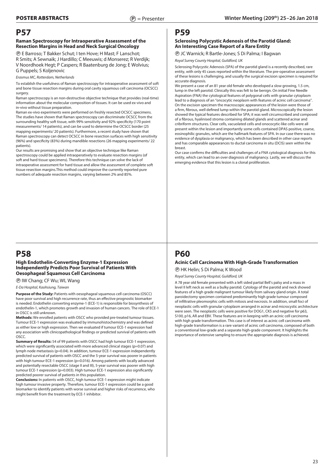### **Raman Spectroscopy for Intraoperative Assessment of the Resection Margins in Head and Neck Surgical Oncology**

P E Barroso; T Bakker Schut; I ten Hove; H Mast; F Lanschot; R Smits; A Sewnaik; J Hardillo; C Meeuwis; d Monserez; R Verdijk; V Noordhoek Hegt; P Caspers; R Baatenburg de Jong; E Wolvius; G Puppels; S Koljenovic

*Erasmus MC, Rotterdam, Netherlands*

To establish the usefulness of Raman spectroscopy for intraoperative assessment of soft and bone tissue resection margins during oral cavity squamous cell carcinoma (OCSCC) surgery.

Raman spectroscopy is an non-destructive objective technique that provides (real-time) information about the molecular composition of tissues. It can be used ex-vivo and in-vivo without tissue preparation.

Raman ex-vivo experiments were performed on freshly resected OCSCC specimens. The studies have shown that Raman spectroscopy can discriminate OCSCC from the surrounding healthy soft tissue, with 99% sensitivity and 92% specificity (170 point measurements/ 14 patients), and can be used to determine the OCSCC border (25 mapping experiments/ 20 patients). Furthermore, a recent study have shown that Raman spectroscopy can detect OCSCC in bone resection surfaces with high sensitivity (96%) and specificity (83%) during mandible resections (26 mapping experiments/ 22 patients).

Our results are promising and show that an objective technique like Raman spectroscopy could be applied intraoperatively to evaluate resection margins (of soft and hard tissue specimens). Therefore this technique can solve the lack of intraoperative assessment for hard tissue and allow the assessment of complete soft tissue resection margins.This method could improve the currently reported pure numbers of adequate resection margins, varying between 2% and 85%.

## **P58**

### **High Endothelin-Converting Enzyme-1 Expression Independently Predicts Poor Survival of Patients With Oesophageal Squamous Cell Carcinoma**

P IW Chang; CF Wu; WL Wang

*E-Da Hospital, Kaohsiung, Taiwan*

**Purpose of the Study:** Patients with oesophageal squamous cell carcinoma (OSCC) have poor survival and high recurrence rate, thus an effective prognostic biomarker is needed. Endothelin converting enzyme-1 (ECE-1) is responsible for biosynthesis of endothelin-1, which promotes growth and invasion of human cancers. The role of ECE-1 in OSCC is still unknown.

**Methods:** We enrolled patients with OSCC who provided pre-treated tumour tissues. Tumour ECE-1 expression was evaluated by immunohistochemistry and was defined as either low or high expression. Then we evaluated if tumour ECE-1 expression had any association with clinicopathological findings or predicted survival of patients with OSCC.

**Summary of Results:** 54 of 99 patients with OSCC had high tumour ECE-1 expression, which were significantly associated with more advanced clinical stages (p=0.07) and lymph node metastasis (p=0.04). In addition, tumour ECE-1 expression independently predicted survival of patients with OSCC and the 5-year survival was poorer in patients with high tumour ECE-1 expression (p=0.016). Among patients with locally advanced and potentially resectable OSCC (stage II and III), 5-year survival was poorer with high tumour ECE-1 expression (p=0.003). High tumour ECE-1 expression also significantly predicted poorer survival of patients in this population.

**Conclusions:** In patients with OSCC, high tumour ECE-1 expression might indicate high tumour invasive property. Therefore, tumour ECE-1 expression could be a good biomarker to identify patients with worse survival and higher risks of recurrence, who might benefit from the treatment by ECE-1 inhibitor.

# **P59**

### **Sclerosing Polycystic Adenosis of the Parotid Gland: An Interesting Case Report of a Rare Entity**

P JC Warnick; R Bartle-Jones; S Di Palma; I Bagwan

*Royal Surrey County Hospital, Guildford, UK*

Sclerosing Polycystic Adenosis (SPA) of the parotid gland is a recently described, rare entity, with only 45 cases reported within the literature. The pre-operative assessment of these lesions is challenging, and usually the surgical excision specimen is required for accurate diagnosis.

We present a case of an 81 year old female who developed a slow growing, 1.5 cm, lump in the left parotid. Clinically this was felt to be benign. On initial Fine Needle Aspiration (FNA) the cytological features of polygonal cells with granular cytoplasm lead to a diagnosis of an "oncocytic neoplasm with features of acinic cell carcinoma". On the excision specimen the macroscopic appearances of the lesion were those of a firm, fibrous, well defined lump within the parotid gland. Microscopically the lesion showed the typical features described for SPA; it was well circumscribed and composed of a fibrous, hyalinised stroma containing dilated glands and scattered acinar and cribriform structures. Clear cells, vacuolated cells and onococytic-like cells were all present within the lesion and importantly some cells contained DPAS positive, coarse, eosinophilic granules, which are the hallmark features of SPA. In our case there was no evidence of dysplasia or malignancy, which has been described in other case reports and has comparable appearances to ductal carcinoma in situ (DCIS) seen within the breast.

Our case confirms the difficulties and challenges of a FNA cytological diagnosis for this entity, which can lead to an over diagnosis of malignancy. Lastly, we will discuss the emerging evidence that this lesion is a clonal proliferation.

# **P60**

### **Acinic Cell Carcinoma With High-Grade Transformation**

P HK Helin; S Di Palma; K Wood

*Royal Surrey County Hospital, Guildford, UK*

A 78 year old female presented with a left sided partial Bell's palsy and a mass in level II left neck as well as a bulky parotid. Cytology of the parotid and neck showed features of a high grade malignant tumour likely from salivary gland origin. A total paroidectomy specimen contained predominantly high grade tumour composed of infiltrative pleomorphic cells with mitosis and necrosis. In addition, small foci of neoplastic cells with granular cytoplasm arranged in acinar and microcystic architecture were seen. The neoplastic cells were positive for DOG1, CK5 and negative for p63, S100, p16, AR and EBV. These features are in keeping with an acinic cell carcinoma with high grade transformation. This case is of interest as acinic cell carcinoma with high-grade transformation is a rare variant of acinic cell carcinoma, composed of both a conventional low-grade and a separate high-grade component. It highlights the importance of extensive sampling to ensure the appropriate diagnosis is achieved.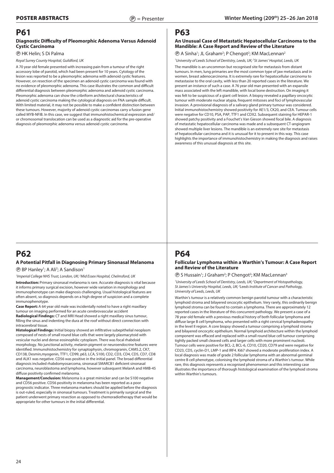### **Diagnostic Difficulty of Pleomorphic Adenoma Versus Adenoid Cystic Carcinoma**

P HK Helin; S Di Palma

*Royal Surrey County Hospital, Guildford, UK*

A 70 year old female presented with increasing pain from a tumour of the right accessory lobe of parotid, which had been present for 10 years. Cytology of the lesion was reported to be a pleomorphic adenoma with adenoid cystic features. However, on resection of the specimen an adenoid cystic carcinoma was found with no evidence of pleomorphic adenoma. This case illustrates the common and difficult differential diagnosis between pleomorphic adenoma and adenoid cystic carcinoma. Pleomorphic adenoma can show the cribriform architectural characteristics of adenoid cystic carcinoma making the cytological diagnosis on FNA sample difficult. With limited material, it may not be possible to make a confident distinction between these tumours. However, majority of adenoid cystic carcinomas carry a fusion gene called MYB-NFIB. In this case, we suggest that immunohistochemical expression and/ or chromosomal translocation can be used as a diagnostic aid for the pre-operative diagnosis of pleomorphic adenoma versus adenoid cystic carcinoma.

# **P63**

### **An Unusual Case of Metastatic Hepatocellular Carcinoma to the Mandible: A Case Report and Review of the Literature**

**(B)** A Sinha<sup>1</sup>; JL Graham<sup>2</sup>; P Chengot<sup>2</sup>; KM MacLennan<sup>2</sup> <sup>1</sup> University of Leeds School of Dentistry, Leeds, UK; <sup>2</sup>St James' Hospital, Leeds, UK

The mandible is an uncommon but recognised site for metastasis from distant tumours. In men, lung primaries are the most common type of jaw metastasis and in women, breast adenocarcinoma. It is extremely rare for hepatocellular carcinoma to metastasise to the oral cavity, with less than 20 reported cases in the literature. We present an instance of such a case. A 76 year old man presented with an expansile mass associated with the left mandible, with local bone destruction. On imaging it was felt to be suspicious of a giant cell lesion. A biopsy revealed a papillary oncocytic tumour with moderate nuclear atypia, frequent mitsoses and foci of lymphovascular invasion. A provisional diagnosis of a salivary gland primary tumour was considered. Initial immunohistochemistry showed positivity for AE1/3, CK20, and CEA. Tumour cells were negative for CD10, PSA, PAP, TTF1 and CDX2. Subsequent staining for HEPAR-1 showed patchy positivity and a Fouchet's Van Gieson showed focal bile. A diagnosis of metastatic hepatocellular carcinoma was made and a subsequent CT-angiogram showed multiple liver lesions. The mandible is an extremely rare site for metastasis of hepatocellular carcinoma and it is unusual for it to present in this way. This case highlights the importance of immunohistochemistry in making the diagnosis and raises awareness of this unusual diagnosis at this site.

# **P62**

### **A Potential Pitfall in Diagnosing Primary Sinonasal Melanoma**

*<b>P* BP Hanley<sup>1</sup>; A Ali<sup>2</sup>; A Sandison<sup>1</sup>

*1 Imperial College NHS Trust, London, UK; 2 Mid Essex Hospital, Chelmsford, UK*

**Introduction:** Primary sinonasal melanoma is rare. Accurate diagnosis is vital because it informs primary surgical excision, however wide variation in morphology and immunophenotype can make diagnosis challenging. Usual histological features are often absent, so diagnosis depends on a high degree of suspicion and a complete immunophenotype.

**Case Report:** A 64 year old male was incidentally noted to have a right maxillary tumour on imaging performed for an acute cerebrovascular accident **Radiological Findings:** CT and MRI Head showed a right maxillary sinus tumour, filling the sinus and indenting the dura at the roof without direct connection with intracerebral tissue.

**Histological Findings:** Initial biopsy showed an infiltrative subepithelial neoplasm composed of nests of small round blue cells that were largely plasmacytoid with vesicular nuclei and dense eosinophilic cytoplasm. There was focal rhabdoid morphology. No junctional activity, melanin pigment or neuroendocrine features were identified. Immunohistochemistry for synaptophysin, chromogranin, CAM5.2, CK7, CD138, Desmin,myogenin, TTF1, CD99, p63, LCA, S100, CD2, CD3, CD4, CD5, CD7, CD8 and ALK1 was negative. CD56 was positive in the initial panel. The broad differential diagnosis included rhabdomyosarcoma, sinonasal SMARCB1 deficient sinonasal carcinoma, neuroblastoma and lymphoma, however subsequent MelanA and HMB-45 diffuse positivity confirmed melanoma.

**Management/Conclusion:** Melanoma is a great mimicker and can be S100 negative and CD56 positive. CD56 positivity in melanoma has been reported as a poor prognostic indicator. Three melanoma markers should be applied before the diagnosis is out-ruled, especially in sinonasal tumours. Treatment is primarily surgical and the patient underwent primary resection as opposed to chemoradiotherapy that would be appropriate for other tumours in the initial differential.

# **P64**

### **Follicular Lymphoma within a Warthin's Tumour: A Case Report and Review of the Literature**

### **(B)** S Hussain<sup>1</sup>; J Graham<sup>2</sup>; P Chengot<sup>2</sup>; KM MacLennan<sup>3</sup>

*1 University of Leeds School of Dentistry, Leeds, UK; 2 Department of Histopathology, St James's University Hospital, Leeds, UK; 3 Leeds Institute of Cancer and Pathology, University of Leeds, Leeds, UK*

Warthin's tumour is a relatively common benign parotid tumour with a characteristic lymphoid stroma and bilayered oncocytic epithelium. Very rarely, this ordinarily benign lymphoid stroma can be found to contain a lymphoma. There are approximately 12 reported cases in the literature of this concurrent pathology. We present a case of a 78 year old female with a previous medical history of both follicular lymphoma and diffuse large B cell lymphoma, who presented with a right cervical lymphadenopathy in the level II region. A core biopsy showed a tumour comprising a lymphoid stroma and bilayered oncocytic epithelium. Normal lymphoid architecture within the lymphoid component was effaced and replaced with a small round blue cell tumour comprising tightly packed small cleaved cells and larger cells with more prominent nucleoli. Tumour cells were positive for BCL-2, BCL-6, CD10, CD20, CD79 and were negative for CD23, CD5, cyclin-D1, LMP-1 and IRF4. Ki67 showed a moderate proliferation index. A local diagnosis was made of grade 2 follicular lymphoma with an abnormal germinal centre B cell phenotype, colonising the lymphoid stroma of a Warthin's tumour. While rare, this diagnosis represents a recognised phenomenon and this interesting case illustrates the importance of thorough histological examination of the lymphoid stroma within Warthin's tumours.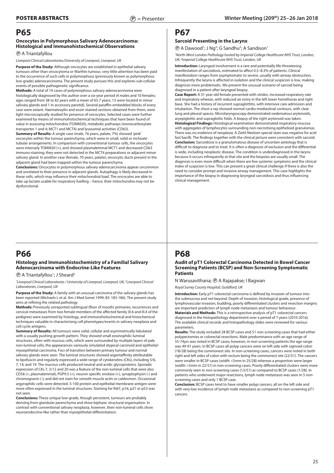### **Oncocytes in Polymorphous Salivary Adenocarcinoma: Histological and Immunohistochemical Observations**

P A Triantafyllou

*Liverpool Clinical Laboratories/University of Liverpool, Liverpool, UK*

**Purpose of the Study:** Although oncocytes are established in epithelial salivary tumours other than oncocytoma or Warthin tumour, very little attention has been paid to the occurrence of such cells in polymorphous (previously known as polymorphous low-grade) adenocarcinoma. The present study pursues this and explores sub-cellular events of possible pathogenetic significance.

**Methods:** A total of 14 cases of polymorphous salivary adenocarcinoma were histologically diagnosed by this author over a six-year period (4 males and 10 females; ages ranged from 38 to 82 years with a mean of 65.7 years; 13 were located in minor salivary glands and 1 in accessory parotid). Several paraffin-embedded blocks of every case were extant. Haematoxylin and eosin stained sections obtained from them, were light microscopically studied for presence of oncocytes. Selected cases were further examined by means of immunohistochemical techniques that have been found of value in assessing mitochondria (TOMM20), metabolic pathways (monocarboxylate transporter 1 and 4; MCT1 and MCT4) and lysosomal activities (CD63).

**Summary of Results:** A single case (male, 76 years, palate; 7%) showed 'pink' oncocytes within the tumour parenchyma, which were in small, solid or inchoate tubular arrangements. In comparison with conventional tumour cells, the oncocytes were intensely TOMM20 (+), and showed plasmalemmal MCT1 and decreased CD63 immuno-staining; they were not detected in the MCT4 preparations or adjacent minor salivary gland. In another case (female, 70 years, palate), oncocytic ducts present in the adjacent gland had been trapped within the tumour parenchyma.

**Conclusions:** Oncocytes in polymorphous salivary adenocarcinoma appear uncommon and unrelated to their presence in adjacent glands. Autophagy is likely decreased in these cells, which may influence their mitochondrial load. The oncocytes are able to take up lactate usable for respiratory fuelling – hence, their mitochondria may not be dysfunctional.

# **P66**

### **Histology and Immunohistochemistry of a Familial Salivary Adenocarcinoma with Endocrine-Like Features**

*<b>@* A Triantafyllou<sup>1</sup>; J Sheard<sup>2</sup>

*1 Liverpool Clinical Laboratories / University of Liverpool, Liverpool, UK; 2 Liverpool Clinical Laboratories, Liverpool, UK*

**Purpose of the Study:** A family with an unusual carcinoma of the salivary glands has been reported (Michaels L et al. Am J Med Genet 1999; 83: 183-186). The present study aims at refining the related pathology.

**Methods:** Previously unreported sublingual (floor of mouth) primaries, recurrences and cervical metastases from two female members of the affected family (II.6 and III.4 of the pedigree) were examined by histology, and immunohistochemical and histochemical techniques valuable in characterising cell phenotypes/events in salivary neoplasia and cell cycle antigens.

**Summary of Results:** All tumours were solid, cellular and asymmetrically lobulated with a usually pushing growth pattern. They showed small eosinophilic luminal structures, often with mucous cells, which were surrounded by multiple layers of pale non-luminal cells; the appearances variously simulated atypical carcinoid and epithelialmyoepithelial carcinoma. Foci of transition between primary tumour and normal salivary glands were seen. The luminal structures showed argentaffinity attributable to lipofuscin and regularly expressed a wide range of cytokeratins (CKs), including 5/6, 7, 14, and 19. The mucous cells produced neutral and acidic glycoproteins. Sporadic expression of CKs 7, 3/12 and 20 was a feature of the non-luminal cells that were also CD56 (+, plasmalemmal), PGP9.5 (+), neuron specific enolase (+), synaptophysin (-) and chromogranin (-); and did not stain for smooth muscle actin or caldesmon. Occasional argyrophilic cells were detected. S-100 protein and epithelial membrane antigen were more often expressed in the luminal structures. Staining for Ki67, p16, p21 or p53 was not seen.

**Conclusions:** These unique low-grade, though persistent, tumours are probably deriving from glandular parenchyma and show biphasic structural organisation. In contrast with conventional salivary neoplasia, however, their non-luminal cells show neuroendocrine-like rather than myoepithelial differentiation.

# **P67**

### **Sarcoid Presenting in the Larynx**

**(B)** A Dawood<sup>1</sup>; J Ng<sup>2</sup>; G Sandhu<sup>2</sup>; A Sandison<sup>1</sup>

*1 North-West London Pathology hosted by Imperial College Healthcare NHS Trust, London, UK; 2 Imperial College Healthcare NHS Trust, London, UK*

**Introduction:** Laryngeal involvement is a rare and potentially life-threatening manifestation of sarcoidosis, estimated to affect 0.5–8.3% of patients. Clinical manifestation ranges from asymptomatic to severe, usually with airway obstruction. Infrequently the larynx is affected in isolation and the clinical suspicion is low, making diagnosis more problematic. We present the unusual scenario of sarcoid being diagnosed in a patient after laryngeal biopsy.

Case Report: A 31 year old female presented with stridor, increased respiratory rate and inspiratory wheeze, with reduced air entry in the left lower hemithorax and right base. She had a history of recurrent supraglottitis, with intensive care admission and intubation. The chest x-ray showed normal cardio-mediastinal contours, with clear lung and pleural spaces. Microlaryngoscopy demonstrated oedematous arytenoids, aryepiglottic and supraglottic folds. A biopsy of the right arytenoid was taken. **Histological Findings:** Histological examination demonstrated respiratory mucosa with aggregates of lymphocytes surrounding non-necrotising epithelioid granulomas. There was no evidence of neoplasia. A Ziehl-Neelsen special stain was negative for acid fast bacilli. The findings together with the clinical picture were consistent with sarcoid. **Conclusion:** Sarcoidosis is a granulomatous disease of uncertain aetiology that is difficult to diagnose and to treat. It is often a diagnosis of exclusion and the differential is wide, including neoplastic disease. The condition is underdiagnosed in the larynx because it occurs infrequently at that site and the biopsies are usually small. The diagnosis is even more difficult when there are few systemic symptoms and the clinical index of suspicion is low. This can present a great clinical challenge if there is also the need to consider prompt and invasive airway management. This case highlights the importance of the biopsy in diagnosing laryngeal sarcoidosis and thus influencing clinical management.

# **P68**

**Audit of pT1 Colorectal Carcinoma Detected in Bowel Cancer Screening Patients (BCSP) and Non-Screening Symptomatic Patients** 

### N Warusavithana;  $\circledR$  A Rajapakse; I Bagwan

*Royal Surrey County Hospital, Guildford, UK*

**Introduction:** Early pT1 colorectal carcinoma is defined by invasion of tumour into the submucosa and not beyond. Depth of invasion, histological grade, presence of lymphovascular invasion, budding, poorly differentiated clusters and resection margins are important predictors of lymph node metastasis and tumour behaviour. **Materials and Methods:** This is a retrospective analysis of pT1 colorectal cancers diagnosed in the histopathology department over a period of 7 years (2010-2016). The available clinical records and histopathology slides were reviewed for various

parameters. **Results:** The study included 28 BCSP cases and 51 non-screening cases that had either polypectomies or colorectal resections. Male predominance with an age range of 55-74yrs was noted in BCSP cases; however, in non-screening patients the age range was 49-91 years. In BCSP cases all polyp cancers were on left side with sigmoid colon (18/28) being the commonest site. In non-screening cases, cancers were noted in both right and left sides of colon with rectum being the commonest site (22/51). The cancers were smaller in BCSP cases (width <5mm in 25/28) whereas a proportion were larger (width >5mm in 22/51) in non-screening cases. Poorly differentiated clusters were more commonly seen in non-screening cases (13/51) as compared to BCSP cases (1/28). In patients who underwent major resections, lymph node metastasis was seen in 5 nonscreening cases and only 1 BCSP case.

**Conclusion:** BCSP cases tend to have smaller polyp cancers, all on the left side and with very low incidence of lymph node metastasis as compared to non-screening pT1 cancers.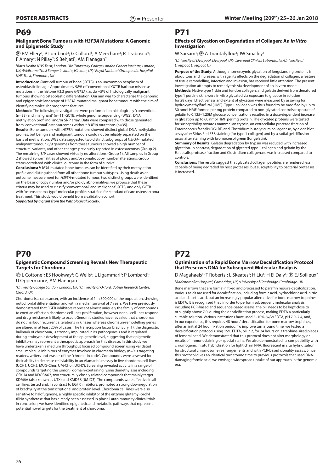### **Malignant Bone Tumours with** *H3F3A* **Mutations: A Genomic and Epigenetic Study**

**(B)** PM Ellery<sup>1</sup>; P Lombard<sup>2</sup>; G Collord<sup>3</sup>; A Meecham<sup>2</sup>; R Tirabosco<sup>4</sup>; F Amary<sup>4</sup>; N Pillay<sup>2</sup>; S Behjati<sup>3</sup>; AM Flanagan<sup>2</sup>

<sup>1</sup> Barts Health NHS Trust, London, UK; <sup>2</sup> University College London Cancer Institute, London, *UK; 3 Wellcome Trust Sanger Institute, Hinxton, UK; 4 Royal National Orthopaedic Hospital NHS Trust, Stanmore, UK*

**Introduction:** Giant cell tumour of bone (GCTB) is an uncommon neoplasm of osteoblastic lineage. Approximately 98% of 'conventional' GCTB harbour missense mutations in the histone H3.3 gene (*H3F3A*), as do ~5% of histologically malignant tumours showing osteoblastic differentiation. Our aim was to characterise the genomic and epigenomic landscape of *H3F3A*-mutated malignant bone tumours with the aim of identifying molecular prognostic features.

**Methods:** The following investigations were performed on histologically 'conventional' (n=38) and 'malignant' (n=11) GCTB: whole genome sequencing (WGS), DNA methylation profiling, and/or SNP array. Data were compared with those generated from 'conventional' osteosarcomas without *H3F3A* mutations (n=35).

**Results:** Bone tumours with *H3F3A* mutations showed distinct global DNA methylation profiles, but benign and malignant tumours could not be reliably separated on the basis of methylation. WGS data suggested two distinct subgroups of *H3F3A*-mutated malignant tumour. 6/9 genomes from these tumours showed a high number of structural variants, and other changes previously reported in osteosarcomas (Group 2).

The remaining 3/9 cases showed virtually no alterations (Group 1). All samples in Group 2 showed abnormalities of ploidy and/or somatic copy number alterations. Group status correlated with clinical outcome in the form of survival.

**Conclusions:** *H3F3A*-mutated bone tumours can be identified by their methylation profile and distinguished from all other bone tumour subtypes. Using death as an outcome measurement for *H3F3A*-mutated tumour, two distinct groups were identified on the basis of copy number and/or ploidy abnormalities: we propose that these criteria may be used to classify 'conventional' and 'malignant' GCTB, and only GCTB with 'osteosarcoma-type' molecular profiles stratified for standard of care osteosarcoma treatment. This study would benefit from a validation cohort. *Supported by a grant from the Pathological Society.*

**P71**

### **Effects of Glycation on Degradation of Collagen: An** *In Vitro* **Investigation**

### W Sarsam<sup>1</sup>; *D* **A Triantafyllou<sup>2</sup>; JW Smalley<sup>1</sup>**

<sup>1</sup> University of Liverpool, Liverpool, UK;<sup>2</sup> Liverpool Clinical Laboratories/University of *Liverpool, Liverpool, UK*

**Purpose of the Study:** Although non-enzymic glycation of longstanding proteins is ubiquitous and increases with age, its effects on the degradation of collagen, a feature of tissue remodelling, infection and invasion, has received little attention. The present investigation attempts to remedy this via development of an in vitro model. **Methods:** Native type 1 skin and tendon collagen, and gelatin derived from denatured type 1 porcine skin, were in vitro glycated via exposure to glucose in solution for 28 days. Effectiveness and extent of glycation were measured by assaying for hydroxymethylfurfural (HMF). Type 1 collagen was thus found to be modified by up to 30 nmol HMF formed per mg protein compared to non-glycated controls; exposure of gelatin to 0.125–1.25M glucose concentrations resulted in a dose-dependent increase in glycation up to 60 nmol HMF per mg protein. The glycated proteins were tested for susceptibility towards mammalian trypsin, an extracellular protease fraction of Enterococcus faecalis OG1RF, and Clostridium histolyticum collagenase, by a dot-blot assay after Sirius Red F3B staining (for type 1 collagen) and by a radial gel diffusion assay after staining with bromocresol green (for gelatin).

**Summary of Results:** Gelatin degradation by trypsin was reduced with increased glycation. In contrast, degradation of glycated type 1 collagen and gelatin by the E. faecalis protease fraction and Clostridium collagenase was increased compared to controls.

**Conclusions:** The results suggest that glycated collagen peptides are rendered less capable of being degraded by host proteases, but susceptibility to bacterial proteases is increased.

# **P70**

### **Epigenetic Compound Screening Reveals New Therapeutic Targets for Chordoma**

*<b>@* L Cottone<sup>1</sup>; ES Hookway<sup>1</sup>; G Wells<sup>2</sup>; L Ligammari<sup>1</sup>; P Lombard<sup>1</sup>; U Oppermann<sup>2</sup>; AM Flanagan<sup>1</sup>

<sup>1</sup> University College London, London, UK; <sup>2</sup> University of Oxford, Botnar Research Centre, *Oxford, UK*

Chordoma is a rare cancer, with an incidence of 1 in 800,000 of the population, showing notochordal differentiation and with a median survival of 7 years. We have previously demonstrated that EGFR inhibitors represent almost uniquely the family of compounds to exert an effect on chordoma cell lines proliferation, however not all cell lines respond and drug resistance is likely to occur. Genomic studies have revealed that chordomas do not harbour recurrent alterations in kinases whereas chromatin-remodelling genes are altered in at least 20% of cases. The transcription factor brachyury (T), the diagnostic hallmark of chordoma, is strongly implicated in its pathogenesis and is regulated during embryonic development at the epigenetic level, suggesting that epigenetic inhibitors may represent a therapeutic approach for this disease. In this study we have undertaken a medium throughput focused compound screen using validated small molecule inhibitors of enzymes involved in chromatin biology (n=91) targeting readers, writers and erasers of the "chromatin code". Compounds were assessed for their ability to decrease cell viability in an Alamar blue assay in five chordoma cell lines (UCH1, UCH2, MUG-Chor, UM-Chor, UCH7). Screening revealed activity in a range of compounds targeting the jumonji domain-containing lysine demethylases including GSK-J4 and KDOBA67, two structurally closely related compounds that mainly target KDM6A (also known as UTX) and KMD6B (JMJD3). The compounds were effective in all cell lines tested and, in contrast to EGFR inhibitors, promoted a strong downregulation of brachyury at the transcriptional and protein level. Chordoma cell lines were also sensitive to halofuginone, a highly specific inhibitor of the enzyme glutamyl-prolyl tRNA synthetase that has already been assessed in phase I autoimmunity clinical trials. In conclusion, we have identified epigenetic and metabolic pathways that represent potential novel targets for the treatment of chordoma.

# **P72**

### **Optimisation of a Rapid Bone Marrow Decalcification Protocol that Preserves DNA for Subsequent Molecular Analysis**

D Magahaels<sup>1</sup>; T Roberts<sup>1</sup>; L Skeates<sup>1</sup>; H Liu<sup>1</sup>; H El Daly<sup>1</sup>; <sup>®</sup> EJ Soilleux<sup>2</sup>

<sup>1</sup> Addenbrookes Hospital, Cambridge, UK;<sup>2</sup> University of Cambridge, Cambridge, UK Bone marrows that are formalin fixed and processed to paraffin require decalcification. Various acids are used for decalcification, including formic acid, hydrochloric acid, nitric acid and acetic acid, but an increasingly popular alternative for bone marrow trephines is EDTA. It is recognised that, in order to perform subsequent molecular analysis, including PCR-based and sequence-based assays, the pH needs to be kept close to or slightly above 7.0, during the decalcification process, making EDTA a particularly suitable solution. Various institutions have used 5–10% (w/v) EDTA, pH 7.0–7.4, and, in our experience, this requires 48 hours' decalcification for bone marrow trephines, after an initial 24 hour fixation period. To improve turnaround time, we tested a decalcification protocol using 15% EDTA, pH 7.2, for 24 hours on 3 trephine-sized pieces of femoral head. We demonstrated that this protocol does not alter morphology or results of immunostaining or special stains. We also demonstrated its compatibility with chromogenic in situ hybridisation for light chain RNA, fluorescent in situ hybridisation for structural chromosome rearrangements and with PCR-based clonality assays. Since this protocol gives an identical turnaround time to previous protocols that used DNAdamaging formic acid, we envisage widespread uptake of our approach in the genomic era.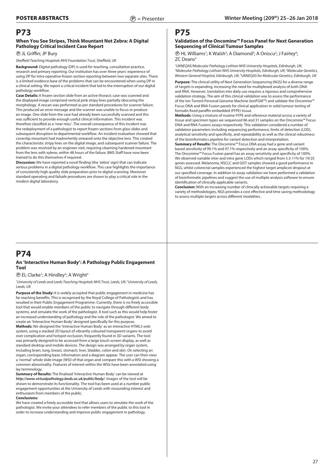### **When You See Stripes, Think Mountant Not Zebra: A Digital Pathology Critical Incident Case Report**

P JL Griffin; JP Bury

*Sheffield Teaching Hospitals NHS Foundation Trust, Sheffield, UK*

**Background:** Digital pathology (DP) is used for teaching, consultation practice, research and primary reporting. Our institution has over three years' experience of using DP for intra-operative frozen section reporting between two separate sites. There is a limited evidence base of the problems that can be encountered when using DP in a clinical setting. We report a critical incident that led to the interruption of our digital pathology workflow.

**Case Details:** A frozen section slide from an active thoracic case was scanned and the displayed image comprised vertical pink stripy lines partially obscuring the morphology. A rescan was performed as per standard procedures for scanner failure. This produced an error message and the scanner was unable to focus or produce an image. One slide from the case had already been successfully scanned and this was sufficient to provide enough useful clinical information. This incident was therefore classified as a 'near miss'. The overall consequence of this incident was the redeployment of a pathologist to report frozen sections from glass slides and subsequent disruption to departmental workflow. An incident evaluation showed that coverslip mountant had inadvertently smeared onto the objective lens. This created the characteristic stripy lines on the digital image, and subsequent scanner failure. The problem was resolved by an engineer visit, requiring clearning hardened mountant from the lens with xylene, within 48 hours of the failure. BMS Staff have now been trained to do this themselves if required.

**Discussion:** We have reported a novel finding (the 'zebra' sign) that can indicate serious problems in a digital pathology workflow. This case highlights the importance of consistently high quality slide preparation prior to digital scanning. Moreover standard operating and failsafe procedures are shown to play a critical role in the modern digital laboratory.

# **P74**

### **An 'Interactive Human Body': A Pathology Public Engagement Tool**

### **D EL Clarke<sup>1</sup>; A Hindley<sup>2</sup>; A Wright<sup>2</sup>**

<sup>1</sup>University of Leeds and Leeds Teaching Hospitals NHS Trust, Leeds, UK;<sup>2</sup>University of Leeds, *Leeds, UK*

Purpose of the Study: It is widely accepted that public engagement in medicine has far reaching benefits. This is recognised by the Royal College of Pathologists and has resulted in their Public Engagement Programme. Currently, there is no freely accessible tool that would enable members of the public to navigate through different body systems, and simulate the work of the pathologist. A tool such as this would help foster an increased understanding of pathology and the role of the pathologist. We aimed to create an 'Interactive Human Body' designed specifically for this purpose.

**Methods:** We designed the 'Interactive Human Body' as an interactive HTML5 web system, using a stacked 2D layout of vibrantly coloured transparent organs to avoid over complication and hotspot occlusion, frequently found in 3D variants. The tool was primarily designed to be accessed from a large touch-screen display, as well as standard desktop and mobile devices. The design was arranged by organ system, including brain, lung, breast, stomach, liver, bladder, colon and skin. On selecting an organ, corresponding basic information and a diagram appear. The user can then view a 'normal' whole slide image (WSI) of that organ and compare this with a WSI showing a common abnormality. Features of interest within the WSIs have been annotated using lay terminology.

**Summary of Results:** The finalised 'Interactive Human Body' can be viewed at *http://www.virtualpathology.leeds.ac.uk/public/body/*. Images of the tool will be shown to demonstrate its functionality. The tool has been used at a number public engagement opportunities at the University of Leeds with resounding interest and enthusiasm from members of the public.

#### **Conclusions:**

We have created a freely accessible tool that allows users to simulate the work of the pathologist. We invite your attendees to refer members of the public to this tool in order to increase understanding and improve public engagement in pathology.

# **P75**

### **Validation of the Oncomine™ Focus Panel for Next Generation Sequencing of Clinical Tumour Samples**

**(e)** HL Williams<sup>1</sup>; K Walsh<sup>2</sup>; A Diamond<sup>3</sup>; A Oniscu<sup>2</sup>; J Fairley<sup>4</sup>; ZC Deans4

*1 UKNEQAS/Molecular Pathology Lothian NHS University Hospitals, Edinburgh, UK; 2 Molecular Pathology Lothian NHS University Hospitals, Edinburgh, UK; 3 Molecular Genetics,*  Western General Hospital, Edinburgh, UK;<sup>4</sup>UKNEQAS for Molecular Genetics, Edinburgh, Uk

**Purpose:** The clinical utility of Next Generation Sequencing (NGS) for a diverse range of targets is expanding, increasing the need for multiplexed analysis of both DNA and RNA. However, translation into daily use requires a rigorous and comprehensive validation strategy. The aim of this clinical validation was to assess the performance of the Ion Torrent Personal Genome Machine (IonPGM™) and validate the Oncomine™ Focus DNA and RNA Fusion panels for clinical application in solid tumour testing of formalin fixed paraffin embedded (FFPE) tissue.

**Methods:** Using a mixture of routine FFPE and reference material across a variety of tissue and specimen types we sequenced 86 and 31 samples on the Oncomine™ Focus DNA and RNA Fusions assays respectively. This validation considered a number of validation parameters including sequencing performance, limits of detection (LOD), analytical sensitivity and specificity, and repeatability as well as the clinical robustness of the bioinformatics pipeline for variant detection and interpretation.

**Summary of Results:** The Oncomine™ Focus DNA assay had a gene and variant based sensitivity of 99.1% and 97.1% respectively and an assay specificity of 100%. The Oncomine™ Focus Fusion panel has an assay sensitivity and specificity of 100%. We observed variable inter and intra gene LODs which ranged from 5.3-11% for 19/25 genes assessed. Melanoma, NSCLC and GIST samples showed a good performance in NGS, whilst colorectal samples experienced the highest target amplicon dropout at our specified coverage. In addition to assay validation we have performed a validation of bioinformatic pipelines and suggest the use of multiple analysis software to ensure identification of clinically applicable variants.

**Conclusion:** With an increasing number of clinically actionable targets requiring a variety of methodologies, NGS provides a cost effective and time saving methodology to assess multiple targets across different modalities.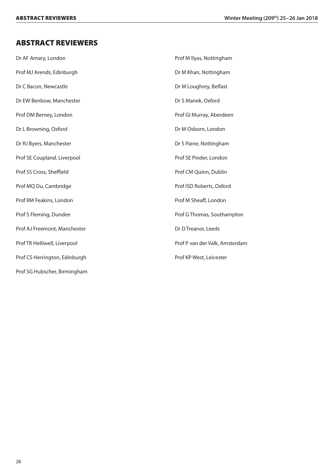# Abstract Reviewers

| Dr AF Amary, London           | Prof M Ilyas, Nottingham       |
|-------------------------------|--------------------------------|
| Prof MJ Arends, Edinburgh     | Dr M Khan, Nottingham          |
| Dr C Bacon, Newcastle         | Dr M Loughrey, Belfast         |
| Dr EW Benbow, Manchester      | Dr S Manek, Oxford             |
| Prof DM Berney, London        | Prof GI Murray, Aberdeen       |
| Dr L Browning, Oxford         | Dr M Osborn, London            |
| Dr RJ Byers, Manchester       | Dr S Paine, Nottingham         |
| Prof SE Coupland, Liverpool   | Prof SE Pinder, London         |
| Prof SS Cross, Sheffield      | Prof CM Quinn, Dublin          |
| Prof MQ Du, Cambridge         | Prof ISD Roberts, Oxford       |
| Prof RM Feakins, London       | Prof M Sheaff, London          |
| Prof S Fleming, Dundee        | Prof G Thomas, Southampton     |
| Prof AJ Freemont, Manchester  | Dr D Treanor, Leeds            |
| Prof TR Helliwell, Liverpool  | Prof P van der Valk, Amsterdam |
| Prof CS Herrington, Edinburgh | Prof KP West, Leicester        |
| Prof SG Hubscher, Birmingham  |                                |